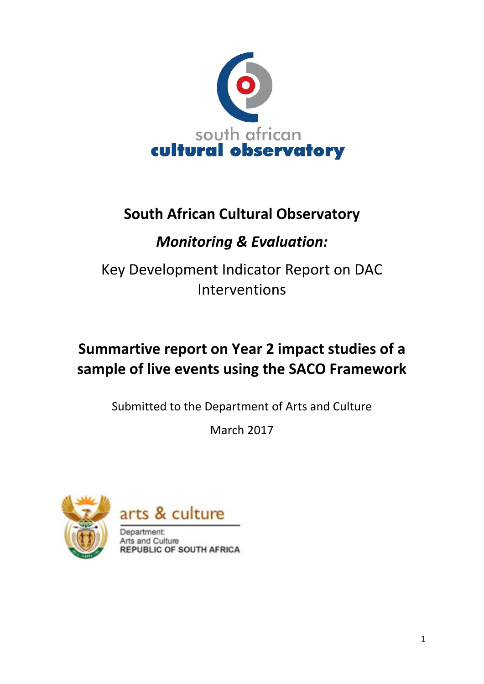

# **South African Cultural Observatory**

# *Monitoring & Evaluation:*

Key Development Indicator Report on DAC Interventions

# **Summartive report on Year 2 impact studies of a sample of live events using the SACO Framework**

Submitted to the Department of Arts and Culture

March 2017





Department: Arts and Culture **REPUBLIC OF SOUTH AFRICA**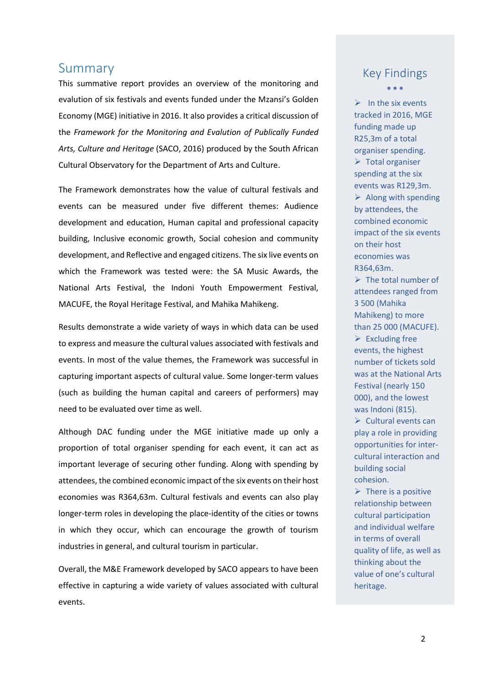## <span id="page-1-0"></span>Summary

This summative report provides an overview of the monitoring and evalution of six festivals and events funded under the Mzansi's Golden Economy (MGE) initiative in 2016. It also provides a critical discussion of the *Framework for the Monitoring and Evalution of Publically Funded Arts, Culture and Heritage* (SACO, 2016) produced by the South African Cultural Observatory for the Department of Arts and Culture.

The Framework demonstrates how the value of cultural festivals and events can be measured under five different themes: Audience development and education, Human capital and professional capacity building, Inclusive economic growth, Social cohesion and community development, and Reflective and engaged citizens. The six live events on which the Framework was tested were: the SA Music Awards, the National Arts Festival, the Indoni Youth Empowerment Festival, MACUFE, the Royal Heritage Festival, and Mahika Mahikeng.

Results demonstrate a wide variety of ways in which data can be used to express and measure the cultural values associated with festivals and events. In most of the value themes, the Framework was successful in capturing important aspects of cultural value. Some longer-term values (such as building the human capital and careers of performers) may need to be evaluated over time as well.

Although DAC funding under the MGE initiative made up only a proportion of total organiser spending for each event, it can act as important leverage of securing other funding. Along with spending by attendees, the combined economic impact of the six events on their host economies was R364,63m. Cultural festivals and events can also play longer-term roles in developing the place-identity of the cities or towns in which they occur, which can encourage the growth of tourism industries in general, and cultural tourism in particular.

Overall, the M&E Framework developed by SACO appears to have been effective in capturing a wide variety of values associated with cultural events.

## Key Findings • • •

 $\triangleright$  In the six events tracked in 2016, MGE funding made up R25,3m of a total organiser spending.  $\triangleright$  Total organiser spending at the six events was R129,3m.  $\triangleright$  Along with spending by attendees, the combined economic impact of the six events on their host economies was R364,63m.

 $\triangleright$  The total number of attendees ranged from 3 500 (Mahika Mahikeng) to more than 25 000 (MACUFE).  $\triangleright$  Excluding free events, the highest number of tickets sold was at the National Arts Festival (nearly 150 000), and the lowest was Indoni (815).  $\triangleright$  Cultural events can play a role in providing opportunities for intercultural interaction and building social cohesion.

 $\triangleright$  There is a positive relationship between cultural participation and individual welfare in terms of overall quality of life, as well as thinking about the value of one's cultural heritage.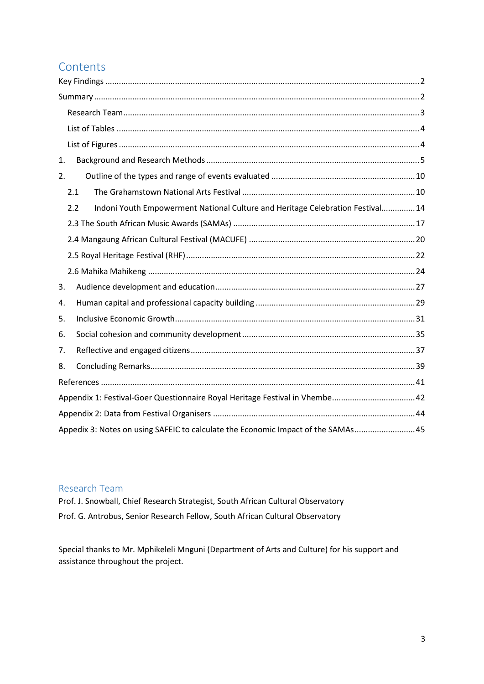# **Contents**

| 1.                                                                                    |  |
|---------------------------------------------------------------------------------------|--|
| 2.                                                                                    |  |
| 2.1                                                                                   |  |
| Indoni Youth Empowerment National Culture and Heritage Celebration Festival 14<br>2.2 |  |
|                                                                                       |  |
|                                                                                       |  |
|                                                                                       |  |
|                                                                                       |  |
| 3.                                                                                    |  |
| 4.                                                                                    |  |
| 5.                                                                                    |  |
| 6.                                                                                    |  |
| 7.                                                                                    |  |
| 8.                                                                                    |  |
|                                                                                       |  |
| Appendix 1: Festival-Goer Questionnaire Royal Heritage Festival in Vhembe 42          |  |
|                                                                                       |  |
| Appedix 3: Notes on using SAFEIC to calculate the Economic Impact of the SAMAs 45     |  |

## <span id="page-2-0"></span>Research Team

Prof. J. Snowball, Chief Research Strategist, South African Cultural Observatory Prof. G. Antrobus, Senior Research Fellow, South African Cultural Observatory

Special thanks to Mr. Mphikeleli Mnguni (Department of Arts and Culture) for his support and assistance throughout the project.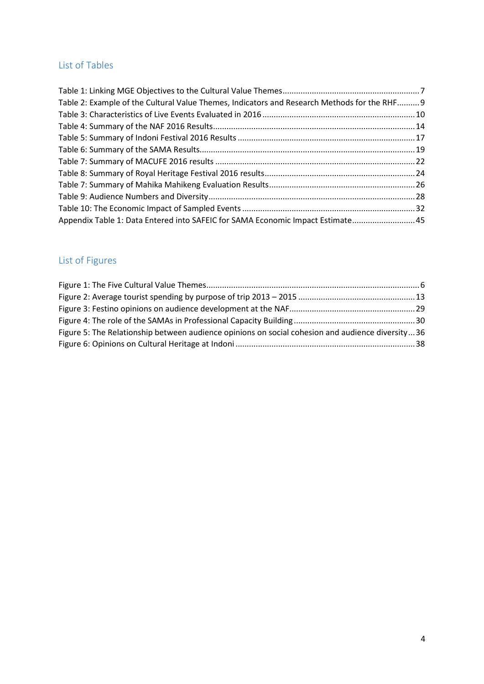# <span id="page-3-0"></span>List of Tables

| Table 2: Example of the Cultural Value Themes, Indicators and Research Methods for the RHF 9 |  |
|----------------------------------------------------------------------------------------------|--|
|                                                                                              |  |
|                                                                                              |  |
|                                                                                              |  |
|                                                                                              |  |
|                                                                                              |  |
|                                                                                              |  |
|                                                                                              |  |
|                                                                                              |  |
|                                                                                              |  |
| Appendix Table 1: Data Entered into SAFEIC for SAMA Economic Impact Estimate 45              |  |

# <span id="page-3-1"></span>List of Figures

| Figure 5: The Relationship between audience opinions on social cohesion and audience diversity36 |
|--------------------------------------------------------------------------------------------------|
|                                                                                                  |
|                                                                                                  |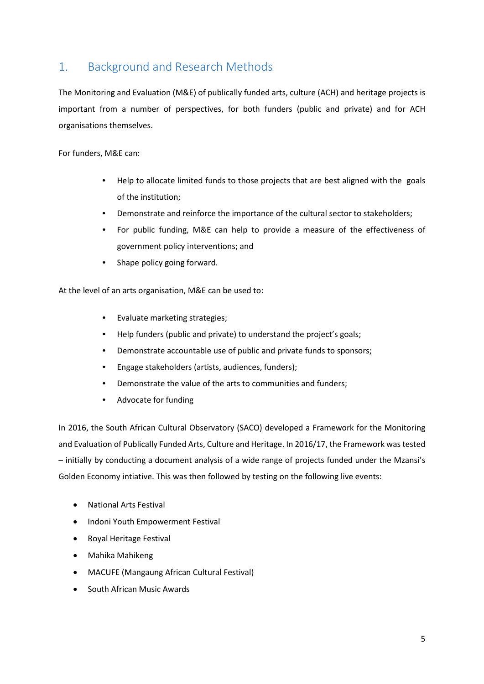# <span id="page-4-0"></span>1. Background and Research Methods

The Monitoring and Evaluation (M&E) of publically funded arts, culture (ACH) and heritage projects is important from a number of perspectives, for both funders (public and private) and for ACH organisations themselves.

For funders, M&E can:

- Help to allocate limited funds to those projects that are best aligned with the goals of the institution;
- Demonstrate and reinforce the importance of the cultural sector to stakeholders;
- For public funding, M&E can help to provide a measure of the effectiveness of government policy interventions; and
- Shape policy going forward.

At the level of an arts organisation, M&E can be used to:

- Evaluate marketing strategies;
- Help funders (public and private) to understand the project's goals;
- Demonstrate accountable use of public and private funds to sponsors;
- Engage stakeholders (artists, audiences, funders);
- Demonstrate the value of the arts to communities and funders;
- Advocate for funding

In 2016, the South African Cultural Observatory (SACO) developed a Framework for the Monitoring and Evaluation of Publically Funded Arts, Culture and Heritage. In 2016/17, the Framework was tested – initially by conducting a document analysis of a wide range of projects funded under the Mzansi's Golden Economy intiative. This was then followed by testing on the following live events:

- National Arts Festival
- Indoni Youth Empowerment Festival
- Royal Heritage Festival
- Mahika Mahikeng
- MACUFE (Mangaung African Cultural Festival)
- South African Music Awards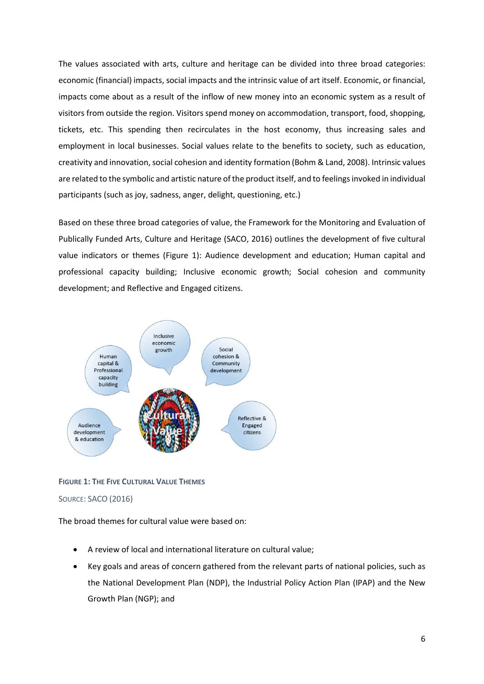The values associated with arts, culture and heritage can be divided into three broad categories: economic (financial) impacts, social impacts and the intrinsic value of art itself. Economic, or financial, impacts come about as a result of the inflow of new money into an economic system as a result of visitors from outside the region. Visitors spend money on accommodation, transport, food, shopping, tickets, etc. This spending then recirculates in the host economy, thus increasing sales and employment in local businesses. Social values relate to the benefits to society, such as education, creativity and innovation, social cohesion and identity formation (Bohm & Land, 2008). Intrinsic values are related to the symbolic and artistic nature of the product itself, and to feelings invoked in individual participants (such as joy, sadness, anger, delight, questioning, etc.)

Based on these three broad categories of value, the Framework for the Monitoring and Evaluation of Publically Funded Arts, Culture and Heritage (SACO, 2016) outlines the development of five cultural value indicators or themes (Figure 1): Audience development and education; Human capital and professional capacity building; Inclusive economic growth; Social cohesion and community development; and Reflective and Engaged citizens.



<span id="page-5-0"></span>**FIGURE 1: THE FIVE CULTURAL VALUE THEMES**

## SOURCE: SACO (2016)

The broad themes for cultural value were based on:

- A review of local and international literature on cultural value;
- Key goals and areas of concern gathered from the relevant parts of national policies, such as the National Development Plan (NDP), the Industrial Policy Action Plan (IPAP) and the New Growth Plan (NGP); and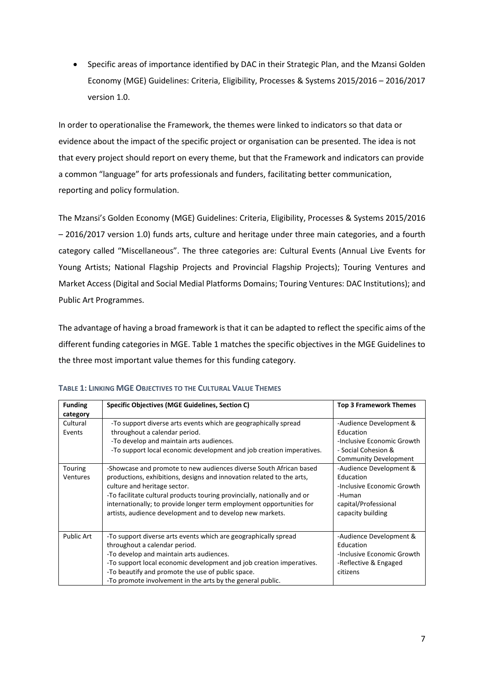• Specific areas of importance identified by DAC in their Strategic Plan, and the Mzansi Golden Economy (MGE) Guidelines: Criteria, Eligibility, Processes & Systems 2015/2016 – 2016/2017 version 1.0.

In order to operationalise the Framework, the themes were linked to indicators so that data or evidence about the impact of the specific project or organisation can be presented. The idea is not that every project should report on every theme, but that the Framework and indicators can provide a common "language" for arts professionals and funders, facilitating better communication, reporting and policy formulation.

The Mzansi's Golden Economy (MGE) Guidelines: Criteria, Eligibility, Processes & Systems 2015/2016 – 2016/2017 version 1.0) funds arts, culture and heritage under three main categories, and a fourth category called "Miscellaneous". The three categories are: Cultural Events (Annual Live Events for Young Artists; National Flagship Projects and Provincial Flagship Projects); Touring Ventures and Market Access (Digital and Social Medial Platforms Domains; Touring Ventures: DAC Institutions); and Public Art Programmes.

The advantage of having a broad framework is that it can be adapted to reflect the specific aims of the different funding categories in MGE. Table 1 matches the specific objectives in the MGE Guidelines to the three most important value themes for this funding category.

| <b>Funding</b>                 | Specific Objectives (MGE Guidelines, Section C)                                                                                                                                                                                                                                                                                                                                              | <b>Top 3 Framework Themes</b>                                                                                             |
|--------------------------------|----------------------------------------------------------------------------------------------------------------------------------------------------------------------------------------------------------------------------------------------------------------------------------------------------------------------------------------------------------------------------------------------|---------------------------------------------------------------------------------------------------------------------------|
| category<br>Cultural<br>Events | -To support diverse arts events which are geographically spread<br>throughout a calendar period.<br>-To develop and maintain arts audiences.<br>-To support local economic development and job creation imperatives.                                                                                                                                                                         | -Audience Development &<br>Education<br>-Inclusive Economic Growth<br>- Social Cohesion &<br><b>Community Development</b> |
| Touring<br><b>Ventures</b>     | -Showcase and promote to new audiences diverse South African based<br>productions, exhibitions, designs and innovation related to the arts,<br>culture and heritage sector.<br>-To facilitate cultural products touring provincially, nationally and or<br>internationally; to provide longer term employment opportunities for<br>artists, audience development and to develop new markets. | -Audience Development &<br>Education<br>-Inclusive Economic Growth<br>-Human<br>capital/Professional<br>capacity building |
| <b>Public Art</b>              | -To support diverse arts events which are geographically spread<br>throughout a calendar period.<br>-To develop and maintain arts audiences.<br>-To support local economic development and job creation imperatives.<br>-To beautify and promote the use of public space.<br>-To promote involvement in the arts by the general public.                                                      | -Audience Development &<br>Education<br>-Inclusive Economic Growth<br>-Reflective & Engaged<br>citizens                   |

<span id="page-6-0"></span>

| <b>TABLE 1: LINKING MGE OBJECTIVES TO THE CULTURAL VALUE THEMES</b> |
|---------------------------------------------------------------------|
|---------------------------------------------------------------------|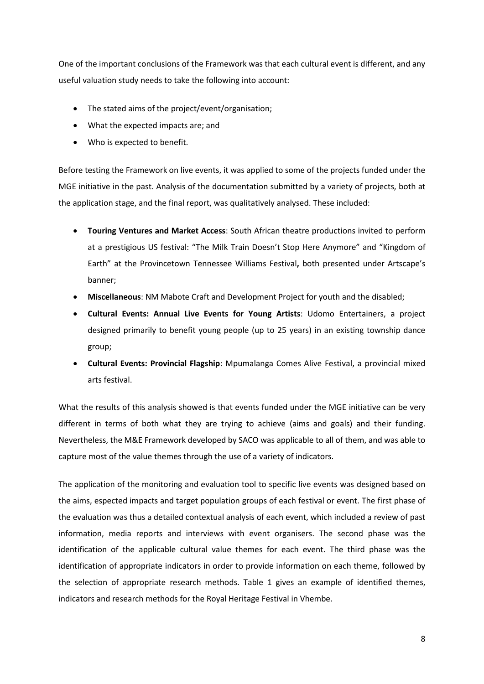One of the important conclusions of the Framework was that each cultural event is different, and any useful valuation study needs to take the following into account:

- The stated aims of the project/event/organisation;
- What the expected impacts are; and
- Who is expected to benefit.

Before testing the Framework on live events, it was applied to some of the projects funded under the MGE initiative in the past. Analysis of the documentation submitted by a variety of projects, both at the application stage, and the final report, was qualitatively analysed. These included:

- **Touring Ventures and Market Access**: South African theatre productions invited to perform at a prestigious US festival: "The Milk Train Doesn't Stop Here Anymore" and "Kingdom of Earth" at the Provincetown Tennessee Williams Festival**,** both presented under Artscape's banner;
- **Miscellaneous**: NM Mabote Craft and Development Project for youth and the disabled;
- **Cultural Events: Annual Live Events for Young Artists**: Udomo Entertainers, a project designed primarily to benefit young people (up to 25 years) in an existing township dance group;
- **Cultural Events: Provincial Flagship**: Mpumalanga Comes Alive Festival, a provincial mixed arts festival.

What the results of this analysis showed is that events funded under the MGE initiative can be very different in terms of both what they are trying to achieve (aims and goals) and their funding. Nevertheless, the M&E Framework developed by SACO was applicable to all of them, and was able to capture most of the value themes through the use of a variety of indicators.

The application of the monitoring and evaluation tool to specific live events was designed based on the aims, espected impacts and target population groups of each festival or event. The first phase of the evaluation was thus a detailed contextual analysis of each event, which included a review of past information, media reports and interviews with event organisers. The second phase was the identification of the applicable cultural value themes for each event. The third phase was the identification of appropriate indicators in order to provide information on each theme, followed by the selection of appropriate research methods. Table 1 gives an example of identified themes, indicators and research methods for the Royal Heritage Festival in Vhembe.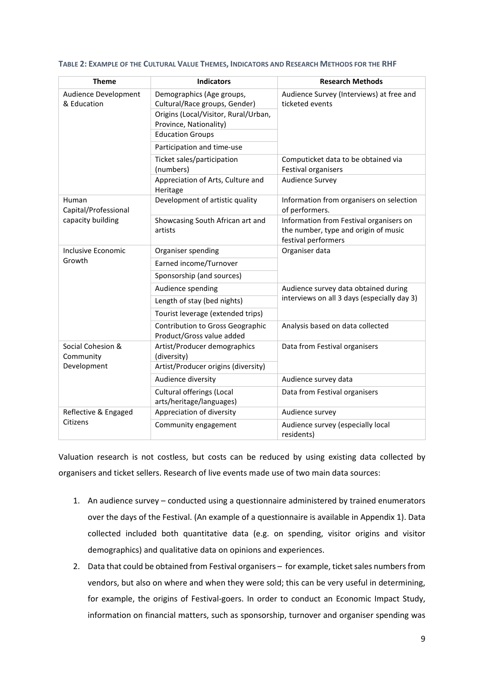| <b>Theme</b>                        | <b>Indicators</b>                                                                                                                                       | <b>Research Methods</b>                                                                                |  |
|-------------------------------------|---------------------------------------------------------------------------------------------------------------------------------------------------------|--------------------------------------------------------------------------------------------------------|--|
| Audience Development<br>& Education | Demographics (Age groups,<br>Cultural/Race groups, Gender)<br>Origins (Local/Visitor, Rural/Urban,<br>Province, Nationality)<br><b>Education Groups</b> | Audience Survey (Interviews) at free and<br>ticketed events                                            |  |
|                                     | Participation and time-use<br>Ticket sales/participation                                                                                                | Computicket data to be obtained via                                                                    |  |
|                                     | (numbers)                                                                                                                                               | Festival organisers                                                                                    |  |
|                                     | Appreciation of Arts, Culture and<br>Heritage                                                                                                           | <b>Audience Survey</b>                                                                                 |  |
| Human<br>Capital/Professional       | Development of artistic quality                                                                                                                         | Information from organisers on selection<br>of performers.                                             |  |
| capacity building                   | Showcasing South African art and<br>artists                                                                                                             | Information from Festival organisers on<br>the number, type and origin of music<br>festival performers |  |
| <b>Inclusive Economic</b>           | Organiser spending                                                                                                                                      | Organiser data                                                                                         |  |
| Growth                              | Earned income/Turnover                                                                                                                                  |                                                                                                        |  |
|                                     | Sponsorship (and sources)                                                                                                                               |                                                                                                        |  |
|                                     | Audience spending                                                                                                                                       | Audience survey data obtained during                                                                   |  |
|                                     | Length of stay (bed nights)                                                                                                                             | interviews on all 3 days (especially day 3)                                                            |  |
|                                     | Tourist leverage (extended trips)                                                                                                                       |                                                                                                        |  |
|                                     | Contribution to Gross Geographic<br>Product/Gross value added                                                                                           | Analysis based on data collected                                                                       |  |
| Social Cohesion &<br>Community      | Artist/Producer demographics<br>(diversity)                                                                                                             | Data from Festival organisers                                                                          |  |
| Development                         | Artist/Producer origins (diversity)                                                                                                                     |                                                                                                        |  |
|                                     | Audience diversity                                                                                                                                      | Audience survey data                                                                                   |  |
|                                     | Cultural offerings (Local<br>arts/heritage/languages)                                                                                                   | Data from Festival organisers                                                                          |  |
| Reflective & Engaged                | Appreciation of diversity                                                                                                                               | Audience survey                                                                                        |  |
| Citizens                            | Community engagement                                                                                                                                    | Audience survey (especially local<br>residents)                                                        |  |

#### <span id="page-8-0"></span>**TABLE 2: EXAMPLE OF THE CULTURAL VALUE THEMES, INDICATORS AND RESEARCH METHODS FOR THE RHF**

Valuation research is not costless, but costs can be reduced by using existing data collected by organisers and ticket sellers. Research of live events made use of two main data sources:

- 1. An audience survey conducted using a questionnaire administered by trained enumerators over the days of the Festival. (An example of a questionnaire is available in Appendix 1). Data collected included both quantitative data (e.g. on spending, visitor origins and visitor demographics) and qualitative data on opinions and experiences.
- 2. Data that could be obtained from Festival organisers for example, ticket sales numbers from vendors, but also on where and when they were sold; this can be very useful in determining, for example, the origins of Festival-goers. In order to conduct an Economic Impact Study, information on financial matters, such as sponsorship, turnover and organiser spending was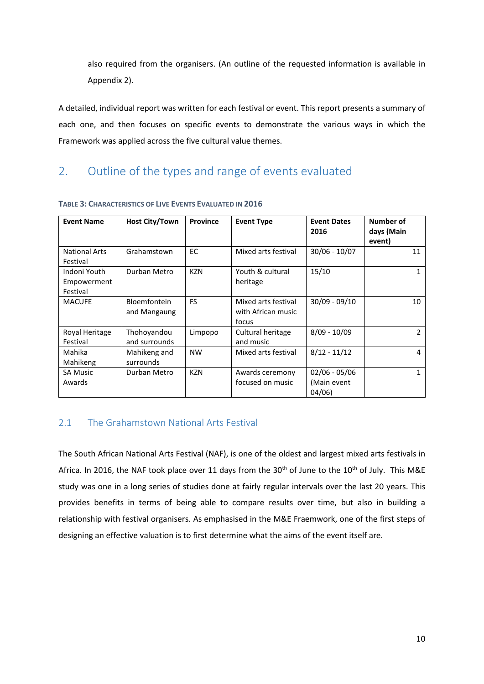also required from the organisers. (An outline of the requested information is available in Appendix 2).

A detailed, individual report was written for each festival or event. This report presents a summary of each one, and then focuses on specific events to demonstrate the various ways in which the Framework was applied across the five cultural value themes.

# <span id="page-9-0"></span>2. Outline of the types and range of events evaluated

| <b>Event Name</b>                       | <b>Host City/Town</b>               | <b>Province</b> | <b>Event Type</b>                                  | <b>Event Dates</b><br>2016              | Number of<br>days (Main<br>event) |
|-----------------------------------------|-------------------------------------|-----------------|----------------------------------------------------|-----------------------------------------|-----------------------------------|
| <b>National Arts</b><br>Festival        | Grahamstown                         | <b>EC</b>       | Mixed arts festival                                | 30/06 - 10/07                           | 11                                |
| Indoni Youth<br>Empowerment<br>Festival | Durban Metro                        | <b>KZN</b>      | Youth & cultural<br>heritage                       | 15/10                                   |                                   |
| <b>MACUFE</b>                           | <b>Bloemfontein</b><br>and Mangaung | <b>FS</b>       | Mixed arts festival<br>with African music<br>focus | $30/09 - 09/10$                         | 10                                |
| Royal Heritage<br>Festival              | Thohoyandou<br>and surrounds        | Limpopo         | Cultural heritage<br>and music                     | $8/09 - 10/09$                          | 2                                 |
| Mahika<br>Mahikeng                      | Mahikeng and<br>surrounds           | <b>NW</b>       | Mixed arts festival                                | $8/12 - 11/12$                          | 4                                 |
| <b>SA Music</b><br>Awards               | Durban Metro                        | <b>KZN</b>      | Awards ceremony<br>focused on music                | $02/06 - 05/06$<br>(Main event<br>04/06 |                                   |

#### <span id="page-9-2"></span>**TABLE 3: CHARACTERISTICS OF LIVE EVENTS EVALUATED IN 2016**

## <span id="page-9-1"></span>2.1 The Grahamstown National Arts Festival

The South African National Arts Festival (NAF), is one of the oldest and largest mixed arts festivals in Africa. In 2016, the NAF took place over 11 days from the  $30<sup>th</sup>$  of June to the  $10<sup>th</sup>$  of July. This M&E study was one in a long series of studies done at fairly regular intervals over the last 20 years. This provides benefits in terms of being able to compare results over time, but also in building a relationship with festival organisers. As emphasised in the M&E Fraemwork, one of the first steps of designing an effective valuation is to first determine what the aims of the event itself are.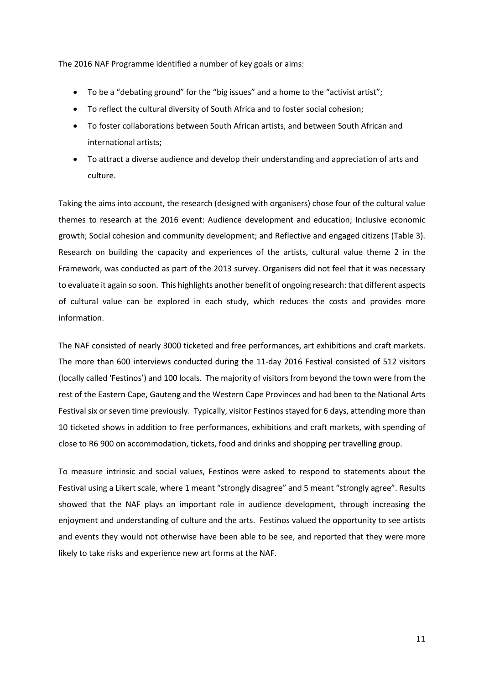The 2016 NAF Programme identified a number of key goals or aims:

- To be a "debating ground" for the "big issues" and a home to the "activist artist";
- To reflect the cultural diversity of South Africa and to foster social cohesion;
- To foster collaborations between South African artists, and between South African and international artists;
- To attract a diverse audience and develop their understanding and appreciation of arts and culture.

Taking the aims into account, the research (designed with organisers) chose four of the cultural value themes to research at the 2016 event: Audience development and education; Inclusive economic growth; Social cohesion and community development; and Reflective and engaged citizens (Table 3). Research on building the capacity and experiences of the artists, cultural value theme 2 in the Framework, was conducted as part of the 2013 survey. Organisers did not feel that it was necessary to evaluate it again so soon. This highlights another benefit of ongoing research: that different aspects of cultural value can be explored in each study, which reduces the costs and provides more information.

The NAF consisted of nearly 3000 ticketed and free performances, art exhibitions and craft markets. The more than 600 interviews conducted during the 11-day 2016 Festival consisted of 512 visitors (locally called 'Festinos') and 100 locals. The majority of visitors from beyond the town were from the rest of the Eastern Cape, Gauteng and the Western Cape Provinces and had been to the National Arts Festival six or seven time previously. Typically, visitor Festinos stayed for 6 days, attending more than 10 ticketed shows in addition to free performances, exhibitions and craft markets, with spending of close to R6 900 on accommodation, tickets, food and drinks and shopping per travelling group.

To measure intrinsic and social values, Festinos were asked to respond to statements about the Festival using a Likert scale, where 1 meant "strongly disagree" and 5 meant "strongly agree". Results showed that the NAF plays an important role in audience development, through increasing the enjoyment and understanding of culture and the arts. Festinos valued the opportunity to see artists and events they would not otherwise have been able to be see, and reported that they were more likely to take risks and experience new art forms at the NAF.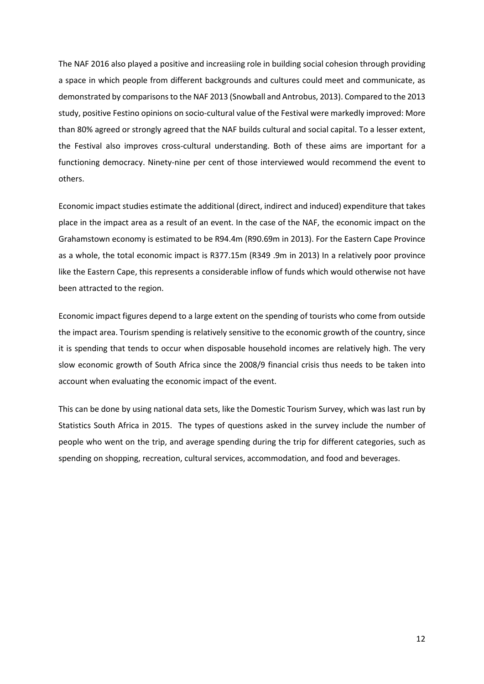The NAF 2016 also played a positive and increasiing role in building social cohesion through providing a space in which people from different backgrounds and cultures could meet and communicate, as demonstrated by comparisons to the NAF 2013 (Snowball and Antrobus, 2013). Compared to the 2013 study, positive Festino opinions on socio-cultural value of the Festival were markedly improved: More than 80% agreed or strongly agreed that the NAF builds cultural and social capital. To a lesser extent, the Festival also improves cross-cultural understanding. Both of these aims are important for a functioning democracy. Ninety-nine per cent of those interviewed would recommend the event to others.

Economic impact studies estimate the additional (direct, indirect and induced) expenditure that takes place in the impact area as a result of an event. In the case of the NAF, the economic impact on the Grahamstown economy is estimated to be R94.4m (R90.69m in 2013). For the Eastern Cape Province as a whole, the total economic impact is R377.15m (R349 .9m in 2013) In a relatively poor province like the Eastern Cape, this represents a considerable inflow of funds which would otherwise not have been attracted to the region.

Economic impact figures depend to a large extent on the spending of tourists who come from outside the impact area. Tourism spending is relatively sensitive to the economic growth of the country, since it is spending that tends to occur when disposable household incomes are relatively high. The very slow economic growth of South Africa since the 2008/9 financial crisis thus needs to be taken into account when evaluating the economic impact of the event.

This can be done by using national data sets, like the Domestic Tourism Survey, which was last run by Statistics South Africa in 2015. The types of questions asked in the survey include the number of people who went on the trip, and average spending during the trip for different categories, such as spending on shopping, recreation, cultural services, accommodation, and food and beverages.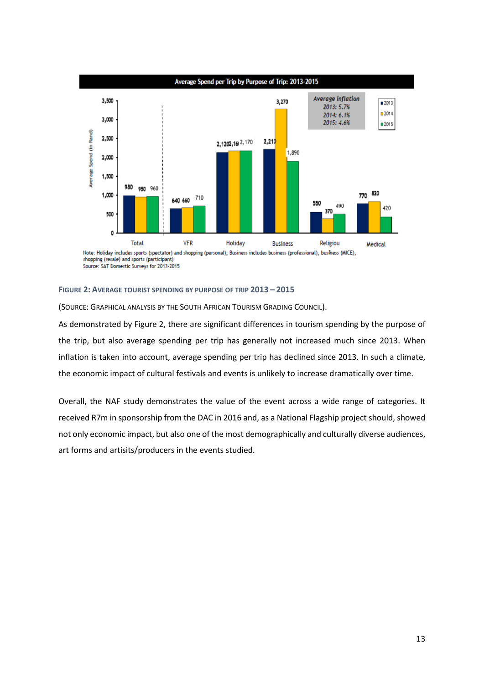

#### <span id="page-12-0"></span>**FIGURE 2: AVERAGE TOURIST SPENDING BY PURPOSE OF TRIP 2013 – 2015**

(SOURCE: GRAPHICAL ANALYSIS BY THE SOUTH AFRICAN TOURISM GRADING COUNCIL).

As demonstrated by Figure 2, there are significant differences in tourism spending by the purpose of the trip, but also average spending per trip has generally not increased much since 2013. When inflation is taken into account, average spending per trip has declined since 2013. In such a climate, the economic impact of cultural festivals and events is unlikely to increase dramatically over time.

Overall, the NAF study demonstrates the value of the event across a wide range of categories. It received R7m in sponsorship from the DAC in 2016 and, as a National Flagship project should, showed not only economic impact, but also one of the most demographically and culturally diverse audiences, art forms and artisits/producers in the events studied.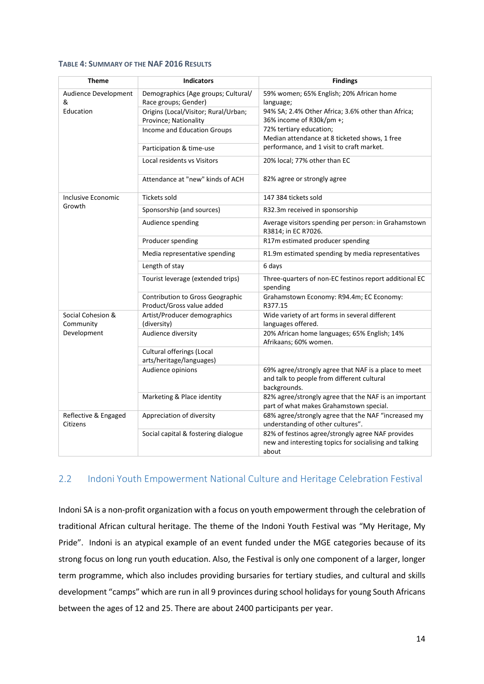#### <span id="page-13-1"></span>**TABLE 4: SUMMARY OF THE NAF 2016 RESULTS**

| <b>Theme</b>                           | <b>Indicators</b>                                             | <b>Findings</b>                                                                                                      |
|----------------------------------------|---------------------------------------------------------------|----------------------------------------------------------------------------------------------------------------------|
| Audience Development<br>&<br>Education | Demographics (Age groups; Cultural/<br>Race groups; Gender)   | 59% women; 65% English; 20% African home<br>language;                                                                |
|                                        | Origins (Local/Visitor; Rural/Urban;<br>Province; Nationality | 94% SA; 2.4% Other Africa; 3.6% other than Africa;<br>36% income of R30k/pm +;                                       |
|                                        | Income and Education Groups                                   | 72% tertiary education;<br>Median attendance at 8 ticketed shows, 1 free                                             |
|                                        | Participation & time-use                                      | performance, and 1 visit to craft market.                                                                            |
|                                        | Local residents vs Visitors                                   | 20% local; 77% other than EC                                                                                         |
|                                        | Attendance at "new" kinds of ACH                              | 82% agree or strongly agree                                                                                          |
| Inclusive Economic                     | <b>Tickets sold</b>                                           | 147 384 tickets sold                                                                                                 |
| Growth                                 | Sponsorship (and sources)                                     | R32.3m received in sponsorship                                                                                       |
|                                        | Audience spending                                             | Average visitors spending per person: in Grahamstown<br>R3814; in EC R7026.                                          |
|                                        | Producer spending                                             | R17m estimated producer spending                                                                                     |
|                                        | Media representative spending                                 | R1.9m estimated spending by media representatives                                                                    |
|                                        | Length of stay                                                | 6 days                                                                                                               |
|                                        | Tourist leverage (extended trips)                             | Three-quarters of non-EC festinos report additional EC<br>spending                                                   |
|                                        | Contribution to Gross Geographic<br>Product/Gross value added | Grahamstown Economy: R94.4m; EC Economy:<br>R377.15                                                                  |
| Social Cohesion &<br>Community         | Artist/Producer demographics<br>(diversity)                   | Wide variety of art forms in several different<br>languages offered.                                                 |
| Development                            | Audience diversity                                            | 20% African home languages; 65% English; 14%<br>Afrikaans; 60% women.                                                |
|                                        | Cultural offerings (Local<br>arts/heritage/languages)         |                                                                                                                      |
|                                        | Audience opinions                                             | 69% agree/strongly agree that NAF is a place to meet<br>and talk to people from different cultural<br>backgrounds.   |
|                                        | Marketing & Place identity                                    | 82% agree/strongly agree that the NAF is an important<br>part of what makes Grahamstown special.                     |
| Reflective & Engaged<br>Citizens       | Appreciation of diversity                                     | 68% agree/strongly agree that the NAF "increased my<br>understanding of other cultures".                             |
|                                        | Social capital & fostering dialogue                           | 82% of festinos agree/strongly agree NAF provides<br>new and interesting topics for socialising and talking<br>about |

## <span id="page-13-0"></span>2.2 Indoni Youth Empowerment National Culture and Heritage Celebration Festival

Indoni SA is a non-profit organization with a focus on youth empowerment through the celebration of traditional African cultural heritage. The theme of the Indoni Youth Festival was "My Heritage, My Pride". Indoni is an atypical example of an event funded under the MGE categories because of its strong focus on long run youth education. Also, the Festival is only one component of a larger, longer term programme, which also includes providing bursaries for tertiary studies, and cultural and skills development "camps" which are run in all 9 provinces during school holidays for young South Africans between the ages of 12 and 25. There are about 2400 participants per year.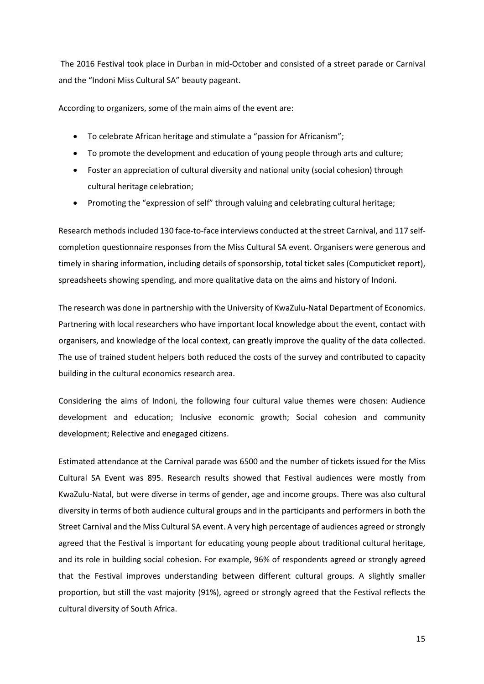The 2016 Festival took place in Durban in mid-October and consisted of a street parade or Carnival and the "Indoni Miss Cultural SA" beauty pageant.

According to organizers, some of the main aims of the event are:

- To celebrate African heritage and stimulate a "passion for Africanism";
- To promote the development and education of young people through arts and culture;
- Foster an appreciation of cultural diversity and national unity (social cohesion) through cultural heritage celebration;
- Promoting the "expression of self" through valuing and celebrating cultural heritage;

Research methods included 130 face-to-face interviews conducted at the street Carnival, and 117 selfcompletion questionnaire responses from the Miss Cultural SA event. Organisers were generous and timely in sharing information, including details of sponsorship, total ticket sales (Computicket report), spreadsheets showing spending, and more qualitative data on the aims and history of Indoni.

The research was done in partnership with the University of KwaZulu-Natal Department of Economics. Partnering with local researchers who have important local knowledge about the event, contact with organisers, and knowledge of the local context, can greatly improve the quality of the data collected. The use of trained student helpers both reduced the costs of the survey and contributed to capacity building in the cultural economics research area.

Considering the aims of Indoni, the following four cultural value themes were chosen: Audience development and education; Inclusive economic growth; Social cohesion and community development; Relective and enegaged citizens.

Estimated attendance at the Carnival parade was 6500 and the number of tickets issued for the Miss Cultural SA Event was 895. Research results showed that Festival audiences were mostly from KwaZulu-Natal, but were diverse in terms of gender, age and income groups. There was also cultural diversity in terms of both audience cultural groups and in the participants and performers in both the Street Carnival and the Miss Cultural SA event. A very high percentage of audiences agreed or strongly agreed that the Festival is important for educating young people about traditional cultural heritage, and its role in building social cohesion. For example, 96% of respondents agreed or strongly agreed that the Festival improves understanding between different cultural groups. A slightly smaller proportion, but still the vast majority (91%), agreed or strongly agreed that the Festival reflects the cultural diversity of South Africa.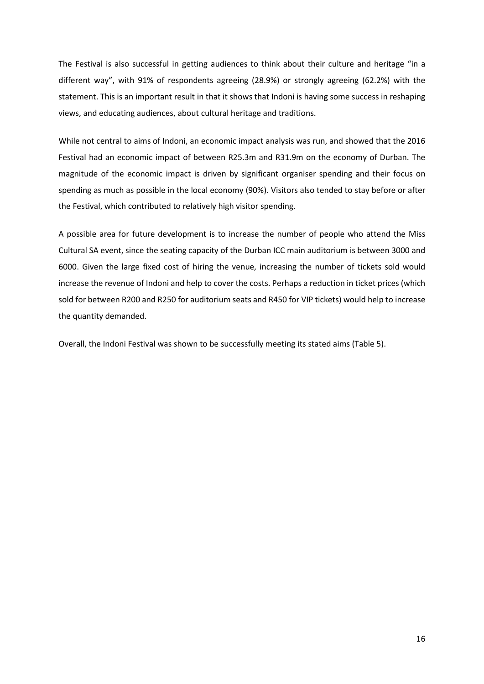The Festival is also successful in getting audiences to think about their culture and heritage "in a different way", with 91% of respondents agreeing (28.9%) or strongly agreeing (62.2%) with the statement. This is an important result in that it shows that Indoni is having some success in reshaping views, and educating audiences, about cultural heritage and traditions.

While not central to aims of Indoni, an economic impact analysis was run, and showed that the 2016 Festival had an economic impact of between R25.3m and R31.9m on the economy of Durban. The magnitude of the economic impact is driven by significant organiser spending and their focus on spending as much as possible in the local economy (90%). Visitors also tended to stay before or after the Festival, which contributed to relatively high visitor spending.

A possible area for future development is to increase the number of people who attend the Miss Cultural SA event, since the seating capacity of the Durban ICC main auditorium is between 3000 and 6000. Given the large fixed cost of hiring the venue, increasing the number of tickets sold would increase the revenue of Indoni and help to cover the costs. Perhaps a reduction in ticket prices (which sold for between R200 and R250 for auditorium seats and R450 for VIP tickets) would help to increase the quantity demanded.

Overall, the Indoni Festival was shown to be successfully meeting its stated aims (Table 5).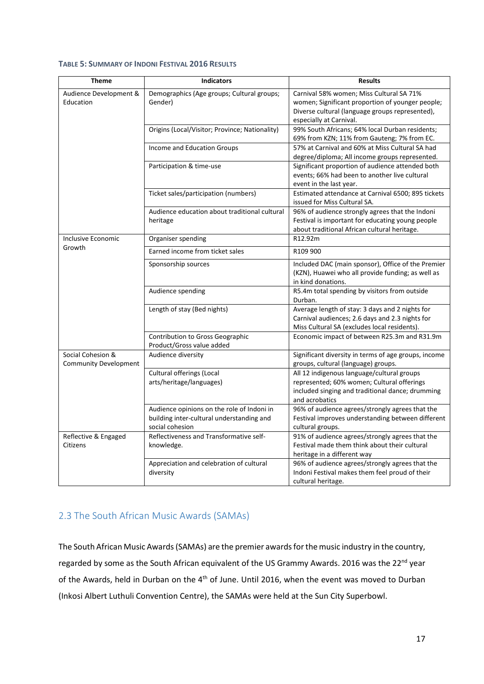#### <span id="page-16-1"></span>**TABLE 5: SUMMARY OF INDONI FESTIVAL 2016 RESULTS**

| <b>Theme</b>                                      | <b>Indicators</b>                                                                                          | <b>Results</b>                                                                                                                                                             |
|---------------------------------------------------|------------------------------------------------------------------------------------------------------------|----------------------------------------------------------------------------------------------------------------------------------------------------------------------------|
| Audience Development &<br>Education               | Demographics (Age groups; Cultural groups;<br>Gender)                                                      | Carnival 58% women; Miss Cultural SA 71%<br>women; Significant proportion of younger people;<br>Diverse cultural (language groups represented),<br>especially at Carnival. |
|                                                   | Origins (Local/Visitor; Province; Nationality)                                                             | 99% South Africans; 64% local Durban residents;<br>69% from KZN; 11% from Gauteng; 7% from EC.                                                                             |
|                                                   | Income and Education Groups                                                                                | 57% at Carnival and 60% at Miss Cultural SA had<br>degree/diploma; All income groups represented.                                                                          |
|                                                   | Participation & time-use                                                                                   | Significant proportion of audience attended both<br>events; 66% had been to another live cultural<br>event in the last year.                                               |
|                                                   | Ticket sales/participation (numbers)                                                                       | Estimated attendance at Carnival 6500; 895 tickets<br>issued for Miss Cultural SA.                                                                                         |
|                                                   | Audience education about traditional cultural<br>heritage                                                  | 96% of audience strongly agrees that the Indoni<br>Festival is important for educating young people<br>about traditional African cultural heritage.                        |
| Inclusive Economic                                | Organiser spending                                                                                         | R12.92m                                                                                                                                                                    |
| Growth                                            | Earned income from ticket sales                                                                            | R109 900                                                                                                                                                                   |
|                                                   | Sponsorship sources                                                                                        | Included DAC (main sponsor), Office of the Premier<br>(KZN), Huawei who all provide funding; as well as<br>in kind donations.                                              |
|                                                   | Audience spending                                                                                          | R5.4m total spending by visitors from outside<br>Durban.                                                                                                                   |
|                                                   | Length of stay (Bed nights)                                                                                | Average length of stay: 3 days and 2 nights for<br>Carnival audiences; 2.6 days and 2.3 nights for<br>Miss Cultural SA (excludes local residents).                         |
|                                                   | Contribution to Gross Geographic<br>Product/Gross value added                                              | Economic impact of between R25.3m and R31.9m                                                                                                                               |
| Social Cohesion &<br><b>Community Development</b> | Audience diversity                                                                                         | Significant diversity in terms of age groups, income<br>groups, cultural (language) groups.                                                                                |
| Reflective & Engaged<br>Citizens                  | Cultural offerings (Local<br>arts/heritage/languages)                                                      | All 12 indigenous language/cultural groups<br>represented; 60% women; Cultural offerings<br>included singing and traditional dance; drumming<br>and acrobatics             |
|                                                   | Audience opinions on the role of Indoni in<br>building inter-cultural understanding and<br>social cohesion | 96% of audience agrees/strongly agrees that the<br>Festival improves understanding between different<br>cultural groups.                                                   |
|                                                   | Reflectiveness and Transformative self-<br>knowledge.                                                      | 91% of audience agrees/strongly agrees that the<br>Festival made them think about their cultural<br>heritage in a different way                                            |
|                                                   | Appreciation and celebration of cultural<br>diversity                                                      | 96% of audience agrees/strongly agrees that the<br>Indoni Festival makes them feel proud of their<br>cultural heritage.                                                    |

# <span id="page-16-0"></span>2.3 The South African Music Awards (SAMAs)

The South African Music Awards (SAMAs) are the premier awards for the music industry in the country, regarded by some as the South African equivalent of the US Grammy Awards. 2016 was the 22<sup>nd</sup> year of the Awards, held in Durban on the 4<sup>th</sup> of June. Until 2016, when the event was moved to Durban (Inkosi Albert Luthuli Convention Centre), the SAMAs were held at the Sun City Superbowl.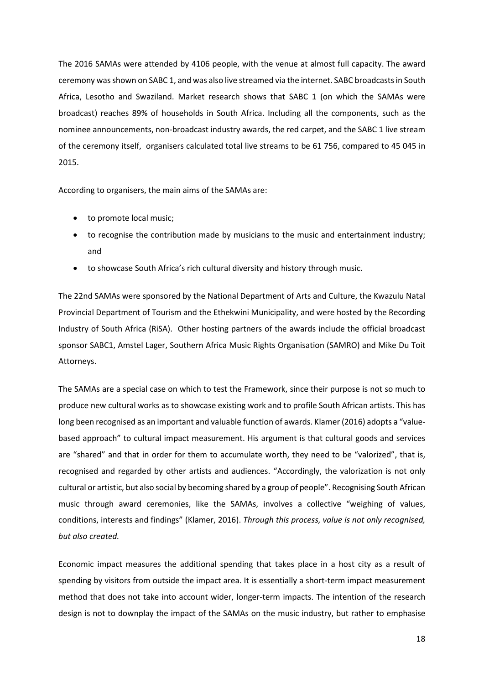The 2016 SAMAs were attended by 4106 people, with the venue at almost full capacity. The award ceremony was shown on SABC 1, and was also live streamed via the internet. SABC broadcasts in South Africa, Lesotho and Swaziland. Market research shows that SABC 1 (on which the SAMAs were broadcast) reaches 89% of households in South Africa. Including all the components, such as the nominee announcements, non-broadcast industry awards, the red carpet, and the SABC 1 live stream of the ceremony itself, organisers calculated total live streams to be 61 756, compared to 45 045 in 2015.

According to organisers, the main aims of the SAMAs are:

- to promote local music;
- to recognise the contribution made by musicians to the music and entertainment industry; and
- to showcase South Africa's rich cultural diversity and history through music.

The 22nd SAMAs were sponsored by the National Department of Arts and Culture, the Kwazulu Natal Provincial Department of Tourism and the Ethekwini Municipality, and were hosted by the Recording Industry of South Africa (RiSA). Other hosting partners of the awards include the official broadcast sponsor SABC1, Amstel Lager, Southern Africa Music Rights Organisation (SAMRO) and Mike Du Toit Attorneys.

The SAMAs are a special case on which to test the Framework, since their purpose is not so much to produce new cultural works as to showcase existing work and to profile South African artists. This has long been recognised as an important and valuable function of awards. Klamer (2016) adopts a "valuebased approach" to cultural impact measurement. His argument is that cultural goods and services are "shared" and that in order for them to accumulate worth, they need to be "valorized", that is, recognised and regarded by other artists and audiences. "Accordingly, the valorization is not only cultural or artistic, but also social by becoming shared by a group of people". Recognising South African music through award ceremonies, like the SAMAs, involves a collective "weighing of values, conditions, interests and findings" (Klamer, 2016). *Through this process, value is not only recognised, but also created.*

Economic impact measures the additional spending that takes place in a host city as a result of spending by visitors from outside the impact area. It is essentially a short-term impact measurement method that does not take into account wider, longer-term impacts. The intention of the research design is not to downplay the impact of the SAMAs on the music industry, but rather to emphasise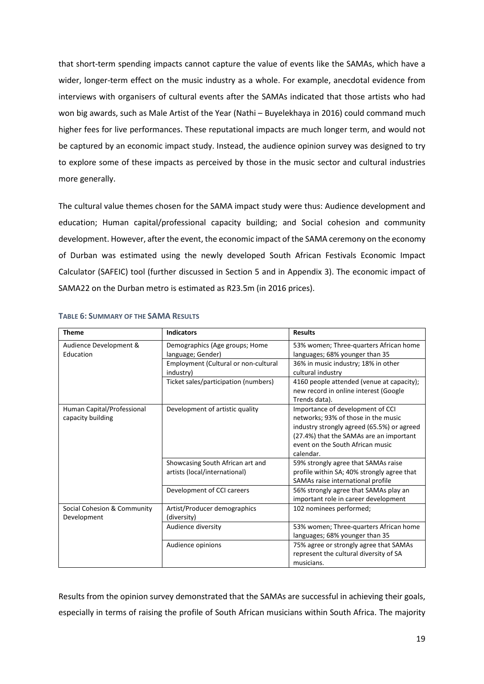that short-term spending impacts cannot capture the value of events like the SAMAs, which have a wider, longer-term effect on the music industry as a whole. For example, anecdotal evidence from interviews with organisers of cultural events after the SAMAs indicated that those artists who had won big awards, such as Male Artist of the Year (Nathi – Buyelekhaya in 2016) could command much higher fees for live performances. These reputational impacts are much longer term, and would not be captured by an economic impact study. Instead, the audience opinion survey was designed to try to explore some of these impacts as perceived by those in the music sector and cultural industries more generally.

The cultural value themes chosen for the SAMA impact study were thus: Audience development and education; Human capital/professional capacity building; and Social cohesion and community development. However, after the event, the economic impact of the SAMA ceremony on the economy of Durban was estimated using the newly developed South African Festivals Economic Impact Calculator (SAFEIC) tool (further discussed in Section 5 and in Appendix 3). The economic impact of SAMA22 on the Durban metro is estimated as R23.5m (in 2016 prices).

| <b>Theme</b>                                    | <b>Indicators</b>                                                 | <b>Results</b>                                                                                                                                                                                                    |
|-------------------------------------------------|-------------------------------------------------------------------|-------------------------------------------------------------------------------------------------------------------------------------------------------------------------------------------------------------------|
| Audience Development &<br>Education             | Demographics (Age groups; Home<br>language; Gender)               | 53% women; Three-quarters African home<br>languages; 68% younger than 35                                                                                                                                          |
|                                                 | Employment (Cultural or non-cultural<br>industry)                 | 36% in music industry; 18% in other<br>cultural industry                                                                                                                                                          |
|                                                 | Ticket sales/participation (numbers)                              | 4160 people attended (venue at capacity);<br>new record in online interest (Google<br>Trends data).                                                                                                               |
| Human Capital/Professional<br>capacity building | Development of artistic quality                                   | Importance of development of CCI<br>networks; 93% of those in the music<br>industry strongly agreed (65.5%) or agreed<br>(27.4%) that the SAMAs are an important<br>event on the South African music<br>calendar. |
|                                                 | Showcasing South African art and<br>artists (local/international) | 59% strongly agree that SAMAs raise<br>profile within SA; 40% strongly agree that<br>SAMAs raise international profile                                                                                            |
|                                                 | Development of CCI careers                                        | 56% strongly agree that SAMAs play an<br>important role in career development                                                                                                                                     |
| Social Cohesion & Community<br>Development      | Artist/Producer demographics<br>(diversity)                       | 102 nominees performed;                                                                                                                                                                                           |
|                                                 | Audience diversity                                                | 53% women; Three-quarters African home<br>languages; 68% younger than 35                                                                                                                                          |
|                                                 | Audience opinions                                                 | 75% agree or strongly agree that SAMAs<br>represent the cultural diversity of SA<br>musicians.                                                                                                                    |

## <span id="page-18-0"></span>**TABLE 6: SUMMARY OF THE SAMA RESULTS**

Results from the opinion survey demonstrated that the SAMAs are successful in achieving their goals, especially in terms of raising the profile of South African musicians within South Africa. The majority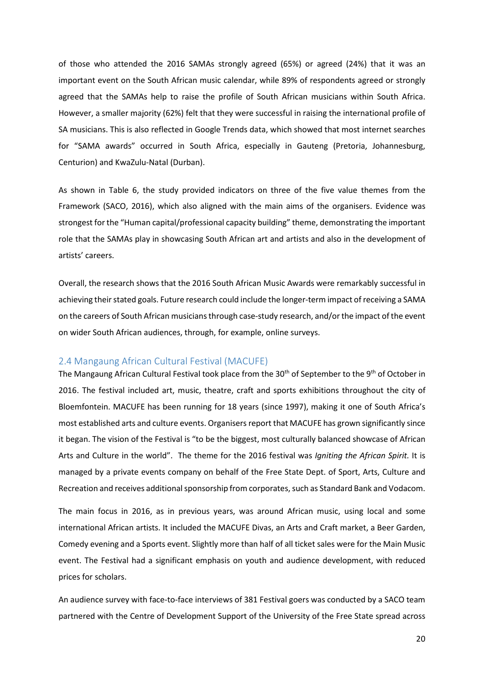of those who attended the 2016 SAMAs strongly agreed (65%) or agreed (24%) that it was an important event on the South African music calendar, while 89% of respondents agreed or strongly agreed that the SAMAs help to raise the profile of South African musicians within South Africa. However, a smaller majority (62%) felt that they were successful in raising the international profile of SA musicians. This is also reflected in Google Trends data, which showed that most internet searches for "SAMA awards" occurred in South Africa, especially in Gauteng (Pretoria, Johannesburg, Centurion) and KwaZulu-Natal (Durban).

As shown in Table 6, the study provided indicators on three of the five value themes from the Framework (SACO, 2016), which also aligned with the main aims of the organisers. Evidence was strongest for the "Human capital/professional capacity building" theme, demonstrating the important role that the SAMAs play in showcasing South African art and artists and also in the development of artists' careers.

Overall, the research shows that the 2016 South African Music Awards were remarkably successful in achieving their stated goals. Future research could include the longer-term impact of receiving a SAMA on the careers of South African musiciansthrough case-study research, and/orthe impact of the event on wider South African audiences, through, for example, online surveys.

## <span id="page-19-0"></span>2.4 Mangaung African Cultural Festival (MACUFE)

The Mangaung African Cultural Festival took place from the 30<sup>th</sup> of September to the 9<sup>th</sup> of October in 2016. The festival included art, music, theatre, craft and sports exhibitions throughout the city of Bloemfontein. MACUFE has been running for 18 years (since 1997), making it one of South Africa's most established arts and culture events. Organisers report that MACUFE has grown significantly since it began. The vision of the Festival is "to be the biggest, most culturally balanced showcase of African Arts and Culture in the world". The theme for the 2016 festival was *Igniting the African Spirit.* It is managed by a private events company on behalf of the Free State Dept. of Sport, Arts, Culture and Recreation and receives additional sponsorship from corporates, such as Standard Bank and Vodacom.

The main focus in 2016, as in previous years, was around African music, using local and some international African artists. It included the MACUFE Divas, an Arts and Craft market, a Beer Garden, Comedy evening and a Sports event. Slightly more than half of all ticket sales were for the Main Music event. The Festival had a significant emphasis on youth and audience development, with reduced prices for scholars.

An audience survey with face-to-face interviews of 381 Festival goers was conducted by a SACO team partnered with the Centre of Development Support of the University of the Free State spread across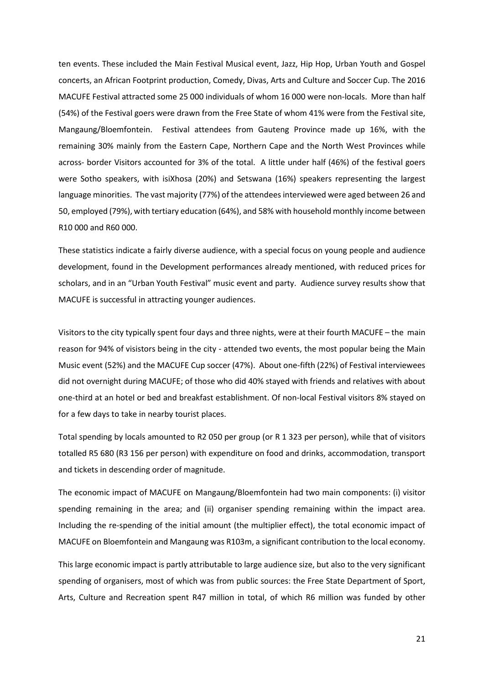ten events. These included the Main Festival Musical event, Jazz, Hip Hop, Urban Youth and Gospel concerts, an African Footprint production, Comedy, Divas, Arts and Culture and Soccer Cup. The 2016 MACUFE Festival attracted some 25 000 individuals of whom 16 000 were non-locals. More than half (54%) of the Festival goers were drawn from the Free State of whom 41% were from the Festival site, Mangaung/Bloemfontein. Festival attendees from Gauteng Province made up 16%, with the remaining 30% mainly from the Eastern Cape, Northern Cape and the North West Provinces while across- border Visitors accounted for 3% of the total. A little under half (46%) of the festival goers were Sotho speakers, with isiXhosa (20%) and Setswana (16%) speakers representing the largest language minorities. The vast majority (77%) of the attendees interviewed were aged between 26 and 50, employed (79%), with tertiary education (64%), and 58% with household monthly income between R10 000 and R60 000.

These statistics indicate a fairly diverse audience, with a special focus on young people and audience development, found in the Development performances already mentioned, with reduced prices for scholars, and in an "Urban Youth Festival" music event and party. Audience survey results show that MACUFE is successful in attracting younger audiences.

Visitors to the city typically spent four days and three nights, were at their fourth MACUFE – the main reason for 94% of visistors being in the city - attended two events, the most popular being the Main Music event (52%) and the MACUFE Cup soccer (47%). About one-fifth (22%) of Festival interviewees did not overnight during MACUFE; of those who did 40% stayed with friends and relatives with about one-third at an hotel or bed and breakfast establishment. Of non-local Festival visitors 8% stayed on for a few days to take in nearby tourist places.

Total spending by locals amounted to R2 050 per group (or R 1 323 per person), while that of visitors totalled R5 680 (R3 156 per person) with expenditure on food and drinks, accommodation, transport and tickets in descending order of magnitude.

The economic impact of MACUFE on Mangaung/Bloemfontein had two main components: (i) visitor spending remaining in the area; and (ii) organiser spending remaining within the impact area. Including the re-spending of the initial amount (the multiplier effect), the total economic impact of MACUFE on Bloemfontein and Mangaung was R103m, a significant contribution to the local economy.

This large economic impact is partly attributable to large audience size, but also to the very significant spending of organisers, most of which was from public sources: the Free State Department of Sport, Arts, Culture and Recreation spent R47 million in total, of which R6 million was funded by other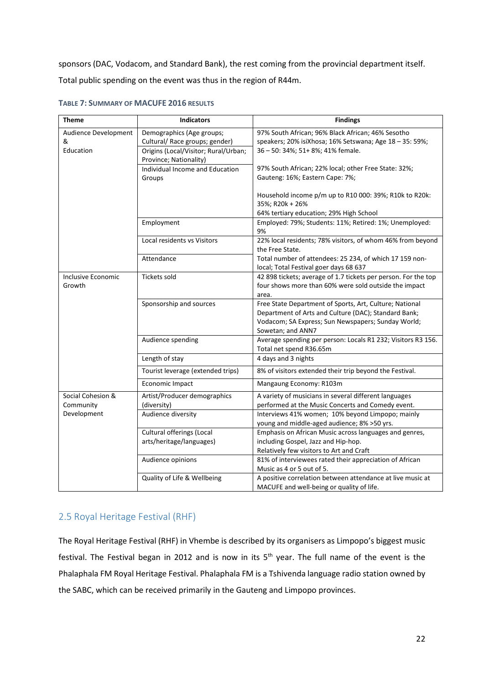sponsors (DAC, Vodacom, and Standard Bank), the rest coming from the provincial department itself. Total public spending on the event was thus in the region of R44m.

| <b>Theme</b>                           | <b>Indicators</b>                                                                                                             | <b>Findings</b>                                                                                                                                                                            |
|----------------------------------------|-------------------------------------------------------------------------------------------------------------------------------|--------------------------------------------------------------------------------------------------------------------------------------------------------------------------------------------|
| Audience Development<br>&<br>Education | Demographics (Age groups;<br>Cultural/ Race groups; gender)<br>Origins (Local/Visitor; Rural/Urban;<br>Province; Nationality) | 97% South African; 96% Black African; 46% Sesotho<br>speakers; 20% isiXhosa; 16% Setswana; Age 18 - 35: 59%;<br>36 - 50: 34%; 51+ 8%; 41% female.                                          |
|                                        | Individual Income and Education<br>Groups                                                                                     | 97% South African; 22% local; other Free State: 32%;<br>Gauteng: 16%; Eastern Cape: 7%;                                                                                                    |
|                                        |                                                                                                                               | Household income p/m up to R10 000: 39%; R10k to R20k:<br>35%; R20k + 26%<br>64% tertiary education; 29% High School                                                                       |
|                                        | Employment                                                                                                                    | Employed: 79%; Students: 11%; Retired: 1%; Unemployed:<br>9%                                                                                                                               |
|                                        | Local residents vs Visitors                                                                                                   | 22% local residents; 78% visitors, of whom 46% from beyond<br>the Free State.                                                                                                              |
|                                        | Attendance                                                                                                                    | Total number of attendees: 25 234, of which 17 159 non-<br>local; Total Festival goer days 68 637                                                                                          |
| Inclusive Economic<br>Growth           | <b>Tickets sold</b>                                                                                                           | 42 898 tickets; average of 1.7 tickets per person. For the top<br>four shows more than 60% were sold outside the impact<br>area.                                                           |
|                                        | Sponsorship and sources                                                                                                       | Free State Department of Sports, Art, Culture; National<br>Department of Arts and Culture (DAC); Standard Bank;<br>Vodacom; SA Express; Sun Newspapers; Sunday World;<br>Sowetan; and ANN7 |
|                                        | Audience spending                                                                                                             | Average spending per person: Locals R1 232; Visitors R3 156.<br>Total net spend R36.65m                                                                                                    |
|                                        | Length of stay                                                                                                                | 4 days and 3 nights                                                                                                                                                                        |
|                                        | Tourist leverage (extended trips)                                                                                             | 8% of visitors extended their trip beyond the Festival.                                                                                                                                    |
|                                        | Economic Impact                                                                                                               | Mangaung Economy: R103m                                                                                                                                                                    |
| Social Cohesion &                      | Artist/Producer demographics                                                                                                  | A variety of musicians in several different languages                                                                                                                                      |
| Community<br>Development               | (diversity)<br>Audience diversity                                                                                             | performed at the Music Concerts and Comedy event.<br>Interviews 41% women; 10% beyond Limpopo; mainly                                                                                      |
|                                        |                                                                                                                               | young and middle-aged audience; 8% >50 yrs.                                                                                                                                                |
|                                        | Cultural offerings (Local                                                                                                     | Emphasis on African Music across languages and genres,                                                                                                                                     |
|                                        | arts/heritage/languages)                                                                                                      | including Gospel, Jazz and Hip-hop.                                                                                                                                                        |
|                                        |                                                                                                                               | Relatively few visitors to Art and Craft                                                                                                                                                   |
|                                        | Audience opinions                                                                                                             | 81% of interviewees rated their appreciation of African<br>Music as 4 or 5 out of 5.                                                                                                       |
|                                        | Quality of Life & Wellbeing                                                                                                   | A positive correlation between attendance at live music at                                                                                                                                 |
|                                        |                                                                                                                               | MACUFE and well-being or quality of life.                                                                                                                                                  |

## <span id="page-21-1"></span>**TABLE 7: SUMMARY OF MACUFE 2016 RESULTS**

## <span id="page-21-0"></span>2.5 Royal Heritage Festival (RHF)

The Royal Heritage Festival (RHF) in Vhembe is described by its organisers as Limpopo's biggest music festival. The Festival began in 2012 and is now in its 5th year. The full name of the event is the Phalaphala FM Royal Heritage Festival. Phalaphala FM is a Tshivenda language radio station owned by the SABC, which can be received primarily in the Gauteng and Limpopo provinces.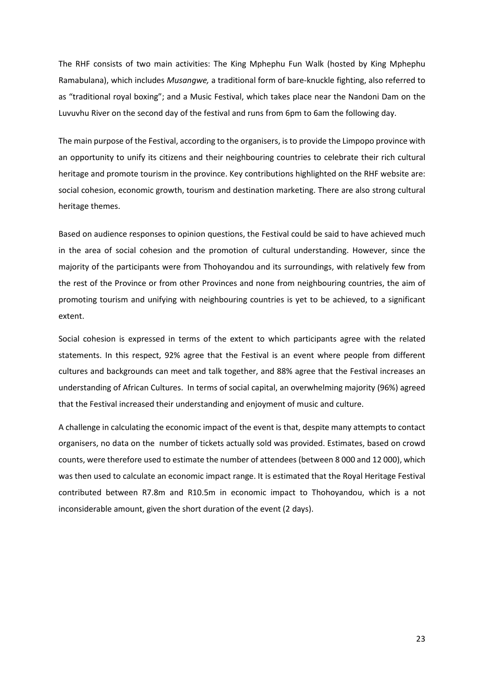The RHF consists of two main activities: The King Mphephu Fun Walk (hosted by King Mphephu Ramabulana), which includes *Musangwe,* a traditional form of bare-knuckle fighting, also referred to as "traditional royal boxing"; and a Music Festival, which takes place near the Nandoni Dam on the Luvuvhu River on the second day of the festival and runs from 6pm to 6am the following day.

The main purpose of the Festival, according to the organisers, is to provide the Limpopo province with an opportunity to unify its citizens and their neighbouring countries to celebrate their rich cultural heritage and promote tourism in the province. Key contributions highlighted on the RHF website are: social cohesion, economic growth, tourism and destination marketing. There are also strong cultural heritage themes.

Based on audience responses to opinion questions, the Festival could be said to have achieved much in the area of social cohesion and the promotion of cultural understanding. However, since the majority of the participants were from Thohoyandou and its surroundings, with relatively few from the rest of the Province or from other Provinces and none from neighbouring countries, the aim of promoting tourism and unifying with neighbouring countries is yet to be achieved, to a significant extent.

Social cohesion is expressed in terms of the extent to which participants agree with the related statements. In this respect, 92% agree that the Festival is an event where people from different cultures and backgrounds can meet and talk together, and 88% agree that the Festival increases an understanding of African Cultures. In terms of social capital, an overwhelming majority (96%) agreed that the Festival increased their understanding and enjoyment of music and culture.

A challenge in calculating the economic impact of the event is that, despite many attempts to contact organisers, no data on the number of tickets actually sold was provided. Estimates, based on crowd counts, were therefore used to estimate the number of attendees (between 8 000 and 12 000), which was then used to calculate an economic impact range. It is estimated that the Royal Heritage Festival contributed between R7.8m and R10.5m in economic impact to Thohoyandou, which is a not inconsiderable amount, given the short duration of the event (2 days).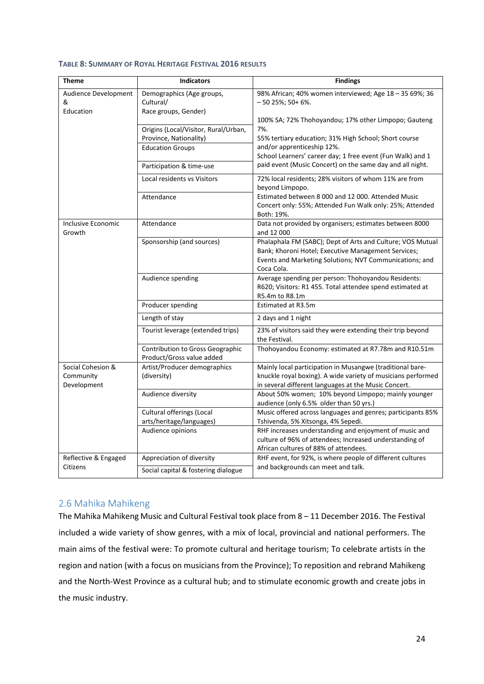| <b>Theme</b>                                  | <b>Indicators</b>                                                    | <b>Findings</b>                                                                                                                                                                            |
|-----------------------------------------------|----------------------------------------------------------------------|--------------------------------------------------------------------------------------------------------------------------------------------------------------------------------------------|
| Audience Development<br>&<br>Education        | Demographics (Age groups,<br>Cultural/<br>Race groups, Gender)       | 98% African; 40% women interviewed; Age 18 - 35 69%; 36<br>$-5025\%$ ; 50+ 6%.                                                                                                             |
|                                               |                                                                      | 100% SA; 72% Thohoyandou; 17% other Limpopo; Gauteng                                                                                                                                       |
|                                               | Origins (Local/Visitor, Rural/Urban,<br>Province, Nationality)       | 7%.<br>55% tertiary education; 31% High School; Short course                                                                                                                               |
|                                               | <b>Education Groups</b>                                              | and/or apprenticeship 12%.<br>School Learners' career day; 1 free event (Fun Walk) and 1                                                                                                   |
|                                               | Participation & time-use                                             | paid event (Music Concert) on the same day and all night.                                                                                                                                  |
|                                               | Local residents vs Visitors                                          | 72% local residents; 28% visitors of whom 11% are from<br>beyond Limpopo.                                                                                                                  |
|                                               | Attendance                                                           | Estimated between 8 000 and 12 000. Attended Music<br>Concert only: 55%; Attended Fun Walk only: 25%; Attended<br>Both: 19%.                                                               |
| Inclusive Economic<br>Growth                  | Attendance                                                           | Data not provided by organisers; estimates between 8000<br>and 12 000                                                                                                                      |
|                                               | Sponsorship (and sources)                                            | Phalaphala FM (SABC); Dept of Arts and Culture; VOS Mutual<br>Bank; Khoroni Hotel; Executive Management Services;<br>Events and Marketing Solutions; NVT Communications; and<br>Coca Cola. |
|                                               | Audience spending                                                    | Average spending per person: Thohoyandou Residents:<br>R620; Visitors: R1 455. Total attendee spend estimated at<br>R5.4m to R8.1m                                                         |
|                                               | Producer spending                                                    | Estimated at R3.5m                                                                                                                                                                         |
|                                               | Length of stay                                                       | 2 days and 1 night                                                                                                                                                                         |
|                                               | Tourist leverage (extended trips)                                    | 23% of visitors said they were extending their trip beyond<br>the Festival.                                                                                                                |
|                                               | <b>Contribution to Gross Geographic</b><br>Product/Gross value added | Thohoyandou Economy: estimated at R7.78m and R10.51m                                                                                                                                       |
| Social Cohesion &<br>Community<br>Development | Artist/Producer demographics<br>(diversity)                          | Mainly local participation in Musangwe (traditional bare-<br>knuckle royal boxing). A wide variety of musicians performed<br>in several different languages at the Music Concert.          |
|                                               | Audience diversity                                                   | About 50% women; 10% beyond Limpopo; mainly younger<br>audience (only 6.5% older than 50 yrs.)                                                                                             |
|                                               | <b>Cultural offerings (Local</b><br>arts/heritage/languages)         | Music offered across languages and genres; participants 85%<br>Tshivenda, 5% Xitsonga, 4% Sepedi.                                                                                          |
|                                               | Audience opinions                                                    | RHF increases understanding and enjoyment of music and<br>culture of 96% of attendees; Increased understanding of<br>African cultures of 88% of attendees.                                 |
| Reflective & Engaged                          | Appreciation of diversity                                            | RHF event, for 92%, is where people of different cultures                                                                                                                                  |
| Citizens                                      | Social capital & fostering dialogue                                  | and backgrounds can meet and talk.                                                                                                                                                         |

#### <span id="page-23-1"></span>**TABLE 8: SUMMARY OF ROYAL HERITAGE FESTIVAL 2016 RESULTS**

## <span id="page-23-0"></span>2.6 Mahika Mahikeng

The Mahika Mahikeng Music and Cultural Festival took place from 8 – 11 December 2016. The Festival included a wide variety of show genres, with a mix of local, provincial and national performers. The main aims of the festival were: To promote cultural and heritage tourism; To celebrate artists in the region and nation (with a focus on musicians from the Province); To reposition and rebrand Mahikeng and the North-West Province as a cultural hub; and to stimulate economic growth and create jobs in the music industry.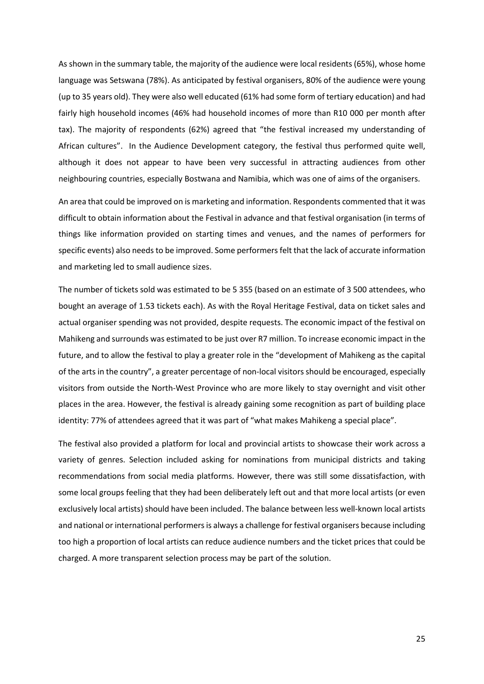As shown in the summary table, the majority of the audience were local residents (65%), whose home language was Setswana (78%). As anticipated by festival organisers, 80% of the audience were young (up to 35 years old). They were also well educated (61% had some form of tertiary education) and had fairly high household incomes (46% had household incomes of more than R10 000 per month after tax). The majority of respondents (62%) agreed that "the festival increased my understanding of African cultures". In the Audience Development category, the festival thus performed quite well, although it does not appear to have been very successful in attracting audiences from other neighbouring countries, especially Bostwana and Namibia, which was one of aims of the organisers.

An area that could be improved on is marketing and information. Respondents commented that it was difficult to obtain information about the Festival in advance and that festival organisation (in terms of things like information provided on starting times and venues, and the names of performers for specific events) also needs to be improved. Some performers felt that the lack of accurate information and marketing led to small audience sizes.

The number of tickets sold was estimated to be 5 355 (based on an estimate of 3 500 attendees, who bought an average of 1.53 tickets each). As with the Royal Heritage Festival, data on ticket sales and actual organiser spending was not provided, despite requests. The economic impact of the festival on Mahikeng and surrounds was estimated to be just over R7 million. To increase economic impact in the future, and to allow the festival to play a greater role in the "development of Mahikeng as the capital of the arts in the country", a greater percentage of non-local visitors should be encouraged, especially visitors from outside the North-West Province who are more likely to stay overnight and visit other places in the area. However, the festival is already gaining some recognition as part of building place identity: 77% of attendees agreed that it was part of "what makes Mahikeng a special place".

The festival also provided a platform for local and provincial artists to showcase their work across a variety of genres. Selection included asking for nominations from municipal districts and taking recommendations from social media platforms. However, there was still some dissatisfaction, with some local groups feeling that they had been deliberately left out and that more local artists (or even exclusively local artists) should have been included. The balance between less well-known local artists and national or international performers is always a challenge for festival organisers because including too high a proportion of local artists can reduce audience numbers and the ticket prices that could be charged. A more transparent selection process may be part of the solution.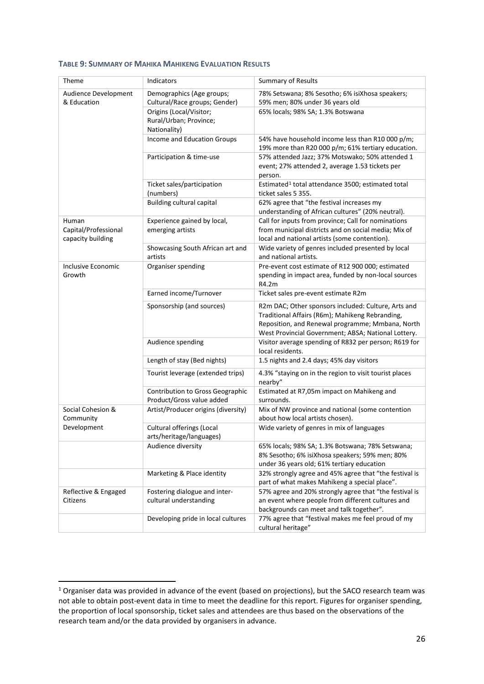#### <span id="page-25-0"></span>**TABLE 9: SUMMARY OF MAHIKA MAHIKENG EVALUATION RESULTS**

| Theme                | Indicators                          | <b>Summary of Results</b>                                                                                |
|----------------------|-------------------------------------|----------------------------------------------------------------------------------------------------------|
|                      |                                     |                                                                                                          |
| Audience Development | Demographics (Age groups;           | 78% Setswana; 8% Sesotho; 6% isiXhosa speakers;                                                          |
| & Education          | Cultural/Race groups; Gender)       | 59% men; 80% under 36 years old                                                                          |
|                      | Origins (Local/Visitor;             | 65% locals; 98% SA; 1.3% Botswana                                                                        |
|                      | Rural/Urban; Province;              |                                                                                                          |
|                      | Nationality)                        |                                                                                                          |
|                      | Income and Education Groups         | 54% have household income less than R10 000 p/m;                                                         |
|                      |                                     | 19% more than R20 000 p/m; 61% tertiary education.                                                       |
|                      | Participation & time-use            | 57% attended Jazz; 37% Motswako; 50% attended 1                                                          |
|                      |                                     | event; 27% attended 2, average 1.53 tickets per                                                          |
|                      |                                     | person.                                                                                                  |
|                      | Ticket sales/participation          | Estimated <sup>1</sup> total attendance 3500; estimated total                                            |
|                      | (numbers)                           | ticket sales 5 355.                                                                                      |
|                      | <b>Building cultural capital</b>    | 62% agree that "the festival increases my                                                                |
| Human                | Experience gained by local,         | understanding of African cultures" (20% neutral).<br>Call for inputs from province; Call for nominations |
| Capital/Professional | emerging artists                    | from municipal districts and on social media; Mix of                                                     |
| capacity building    |                                     | local and national artists (some contention).                                                            |
|                      | Showcasing South African art and    | Wide variety of genres included presented by local                                                       |
|                      | artists                             | and national artists.                                                                                    |
| Inclusive Economic   | Organiser spending                  | Pre-event cost estimate of R12 900 000; estimated                                                        |
| Growth               |                                     | spending in impact area, funded by non-local sources                                                     |
|                      |                                     | R4.2m                                                                                                    |
|                      | Earned income/Turnover              | Ticket sales pre-event estimate R2m                                                                      |
|                      | Sponsorship (and sources)           | R2m DAC; Other sponsors included: Culture, Arts and                                                      |
|                      |                                     | Traditional Affairs (R6m); Mahikeng Rebranding,                                                          |
|                      |                                     | Reposition, and Renewal programme; Mmbana, North                                                         |
|                      |                                     | West Provincial Government; ABSA; National Lottery.                                                      |
|                      | Audience spending                   | Visitor average spending of R832 per person; R619 for                                                    |
|                      |                                     | local residents.                                                                                         |
|                      | Length of stay (Bed nights)         | 1.5 nights and 2.4 days; 45% day visitors                                                                |
|                      | Tourist leverage (extended trips)   | 4.3% "staying on in the region to visit tourist places<br>nearby"                                        |
|                      | Contribution to Gross Geographic    | Estimated at R7,05m impact on Mahikeng and                                                               |
|                      | Product/Gross value added           | surrounds.                                                                                               |
| Social Cohesion &    | Artist/Producer origins (diversity) | Mix of NW province and national (some contention                                                         |
| Community            |                                     | about how local artists chosen).                                                                         |
| Development          | Cultural offerings (Local           | Wide variety of genres in mix of languages                                                               |
|                      | arts/heritage/languages)            |                                                                                                          |
|                      | Audience diversity                  | 65% locals; 98% SA; 1.3% Botswana; 78% Setswana;                                                         |
|                      |                                     | 8% Sesotho; 6% isiXhosa speakers; 59% men; 80%                                                           |
|                      |                                     | under 36 years old; 61% tertiary education                                                               |
|                      | Marketing & Place identity          | 32% strongly agree and 45% agree that "the festival is                                                   |
|                      |                                     | part of what makes Mahikeng a special place".                                                            |
| Reflective & Engaged | Fostering dialogue and inter-       | 57% agree and 20% strongly agree that "the festival is                                                   |
| Citizens             | cultural understanding              | an event where people from different cultures and                                                        |
|                      |                                     | backgrounds can meet and talk together".                                                                 |
|                      | Developing pride in local cultures  | 77% agree that "festival makes me feel proud of my                                                       |
|                      |                                     | cultural heritage"                                                                                       |

<span id="page-25-1"></span><sup>&</sup>lt;sup>1</sup> Organiser data was provided in advance of the event (based on projections), but the SACO research team was not able to obtain post-event data in time to meet the deadline for this report. Figures for organiser spending, the proportion of local sponsorship, ticket sales and attendees are thus based on the observations of the research team and/or the data provided by organisers in advance.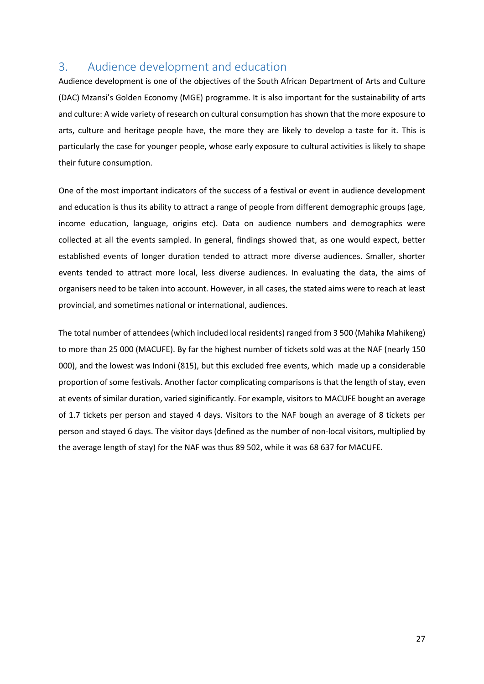# <span id="page-26-0"></span>3. Audience development and education

Audience development is one of the objectives of the South African Department of Arts and Culture (DAC) Mzansi's Golden Economy (MGE) programme. It is also important for the sustainability of arts and culture: A wide variety of research on cultural consumption has shown that the more exposure to arts, culture and heritage people have, the more they are likely to develop a taste for it. This is particularly the case for younger people, whose early exposure to cultural activities is likely to shape their future consumption.

One of the most important indicators of the success of a festival or event in audience development and education is thus its ability to attract a range of people from different demographic groups (age, income education, language, origins etc). Data on audience numbers and demographics were collected at all the events sampled. In general, findings showed that, as one would expect, better established events of longer duration tended to attract more diverse audiences. Smaller, shorter events tended to attract more local, less diverse audiences. In evaluating the data, the aims of organisers need to be taken into account. However, in all cases, the stated aims were to reach at least provincial, and sometimes national or international, audiences.

The total number of attendees (which included local residents) ranged from 3 500 (Mahika Mahikeng) to more than 25 000 (MACUFE). By far the highest number of tickets sold was at the NAF (nearly 150 000), and the lowest was Indoni (815), but this excluded free events, which made up a considerable proportion of some festivals. Another factor complicating comparisons is that the length of stay, even at events of similar duration, varied siginificantly. For example, visitors to MACUFE bought an average of 1.7 tickets per person and stayed 4 days. Visitors to the NAF bough an average of 8 tickets per person and stayed 6 days. The visitor days (defined as the number of non-local visitors, multiplied by the average length of stay) for the NAF was thus 89 502, while it was 68 637 for MACUFE.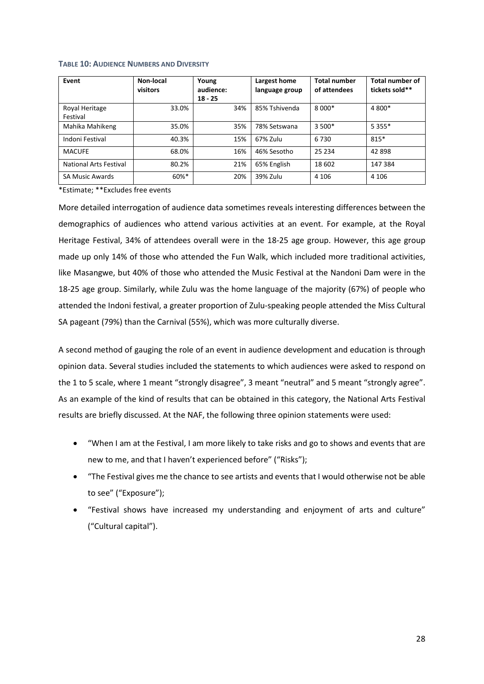| Event                         | Non-local<br>visitors | Young<br>audience:<br>$18 - 25$ | Largest home<br>language group | <b>Total number</b><br>of attendees | <b>Total number of</b><br>tickets sold** |
|-------------------------------|-----------------------|---------------------------------|--------------------------------|-------------------------------------|------------------------------------------|
| Royal Heritage<br>Festival    | 33.0%                 | 34%                             | 85% Tshivenda                  | $8000*$                             | 4 800*                                   |
| Mahika Mahikeng               | 35.0%                 | 35%                             | 78% Setswana                   | $3500*$                             | $5.355*$                                 |
| Indoni Festival               | 40.3%                 | 15%                             | 67% Zulu                       | 6730                                | $815*$                                   |
| <b>MACUFE</b>                 | 68.0%                 | 16%                             | 46% Sesotho                    | 25 2 34                             | 42898                                    |
| <b>National Arts Festival</b> | 80.2%                 | 21%                             | 65% English                    | 18 602                              | 147 384                                  |
| <b>SA Music Awards</b>        | $60\%$ *              | 20%                             | 39% Zulu                       | 4 1 0 6                             | 4 1 0 6                                  |

#### <span id="page-27-0"></span>**TABLE 10: AUDIENCE NUMBERS AND DIVERSITY**

\*Estimate; \*\*Excludes free events

More detailed interrogation of audience data sometimes reveals interesting differences between the demographics of audiences who attend various activities at an event. For example, at the Royal Heritage Festival, 34% of attendees overall were in the 18-25 age group. However, this age group made up only 14% of those who attended the Fun Walk, which included more traditional activities, like Masangwe, but 40% of those who attended the Music Festival at the Nandoni Dam were in the 18-25 age group. Similarly, while Zulu was the home language of the majority (67%) of people who attended the Indoni festival, a greater proportion of Zulu-speaking people attended the Miss Cultural SA pageant (79%) than the Carnival (55%), which was more culturally diverse.

A second method of gauging the role of an event in audience development and education is through opinion data. Several studies included the statements to which audiences were asked to respond on the 1 to 5 scale, where 1 meant "strongly disagree", 3 meant "neutral" and 5 meant "strongly agree". As an example of the kind of results that can be obtained in this category, the National Arts Festival results are briefly discussed. At the NAF, the following three opinion statements were used:

- "When I am at the Festival, I am more likely to take risks and go to shows and events that are new to me, and that I haven't experienced before" ("Risks");
- "The Festival gives me the chance to see artists and events that I would otherwise not be able to see" ("Exposure");
- "Festival shows have increased my understanding and enjoyment of arts and culture" ("Cultural capital").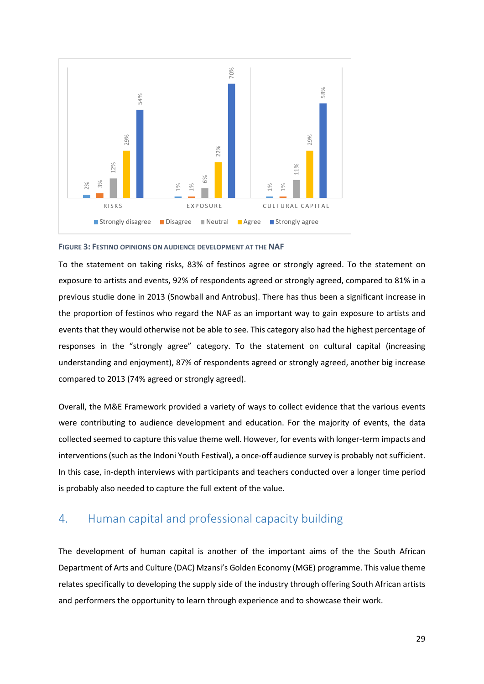

<span id="page-28-1"></span>**FIGURE 3: FESTINO OPINIONS ON AUDIENCE DEVELOPMENT AT THE NAF**

To the statement on taking risks, 83% of festinos agree or strongly agreed. To the statement on exposure to artists and events, 92% of respondents agreed or strongly agreed, compared to 81% in a previous studie done in 2013 (Snowball and Antrobus). There has thus been a significant increase in the proportion of festinos who regard the NAF as an important way to gain exposure to artists and events that they would otherwise not be able to see. This category also had the highest percentage of responses in the "strongly agree" category. To the statement on cultural capital (increasing understanding and enjoyment), 87% of respondents agreed or strongly agreed, another big increase compared to 2013 (74% agreed or strongly agreed).

Overall, the M&E Framework provided a variety of ways to collect evidence that the various events were contributing to audience development and education. For the majority of events, the data collected seemed to capture this value theme well. However, for events with longer-term impacts and interventions (such as the Indoni Youth Festival), a once-off audience survey is probably not sufficient. In this case, in-depth interviews with participants and teachers conducted over a longer time period is probably also needed to capture the full extent of the value.

# <span id="page-28-0"></span>4. Human capital and professional capacity building

The development of human capital is another of the important aims of the the South African Department of Arts and Culture (DAC) Mzansi's Golden Economy (MGE) programme. This value theme relates specifically to developing the supply side of the industry through offering South African artists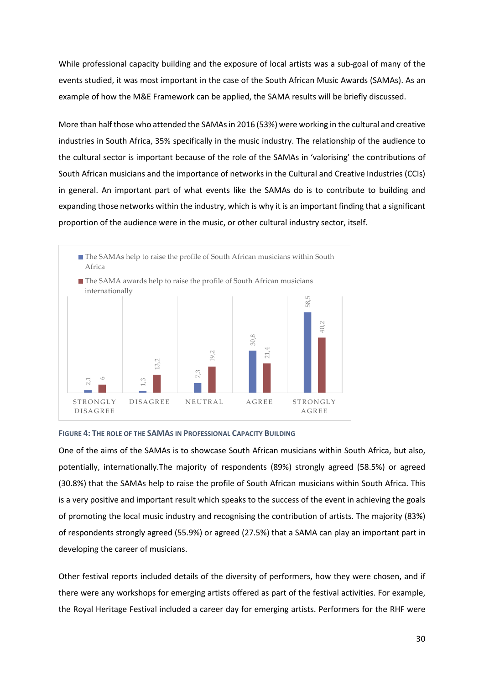While professional capacity building and the exposure of local artists was a sub-goal of many of the events studied, it was most important in the case of the South African Music Awards (SAMAs). As an example of how the M&E Framework can be applied, the SAMA results will be briefly discussed.

More than half those who attended the SAMAs in 2016 (53%) were working in the cultural and creative industries in South Africa, 35% specifically in the music industry. The relationship of the audience to the cultural sector is important because of the role of the SAMAs in 'valorising' the contributions of South African musicians and the importance of networks in the Cultural and Creative Industries (CCIs) in general. An important part of what events like the SAMAs do is to contribute to building and expanding those networks within the industry, which is why it is an important finding that a significant proportion of the audience were in the music, or other cultural industry sector, itself.



#### <span id="page-29-0"></span>**FIGURE 4: THE ROLE OF THE SAMAS IN PROFESSIONAL CAPACITY BUILDING**

One of the aims of the SAMAs is to showcase South African musicians within South Africa, but also, potentially, internationally.The majority of respondents (89%) strongly agreed (58.5%) or agreed (30.8%) that the SAMAs help to raise the profile of South African musicians within South Africa. This is a very positive and important result which speaks to the success of the event in achieving the goals of promoting the local music industry and recognising the contribution of artists. The majority (83%) of respondents strongly agreed (55.9%) or agreed (27.5%) that a SAMA can play an important part in developing the career of musicians. THE ROYAL HERITAGE FESTIVAL THE ROLL OF CHIRAL THE ROYAL HERITAGE THE ROLL OF THE ROLL OF THE ROLL OF THE SAMAS IN PROFESSIONAL CAPACITY BUILDING<br>
FIGURE 4: THE ROLL OF THE SAMAS IN PROFESSIONAL CAPACITY BUILDING<br>
DISPACE

Other festival reports included details of the diversity of performers, how they were chosen, and if there were any workshops for emerging artists offered as part of the festival activities. For example,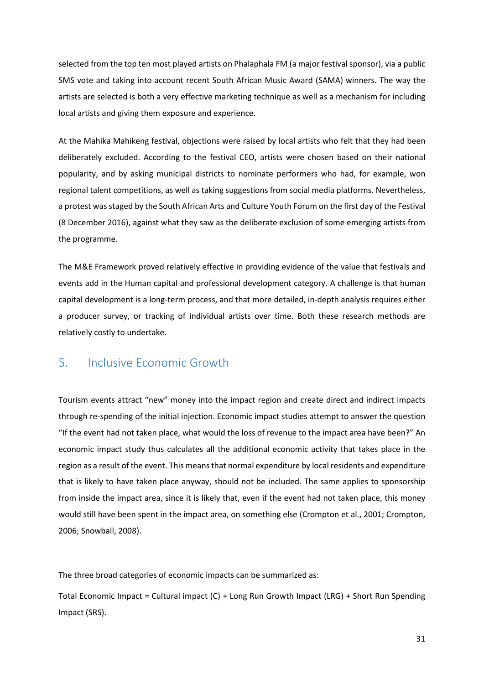selected from the top ten most played artists on Phalaphala FM (a major festival sponsor), via a public SMS vote and taking into account recent South African Music Award (SAMA) winners. The way the artists are selected is both a very effective marketing technique as well as a mechanism for including local artists and giving them exposure and experience.

At the Mahika Mahikeng festival, objections were raised by local artists who felt that they had been deliberately excluded. According to the festival CEO, artists were chosen based on their national popularity, and by asking municipal districts to nominate performers who had, for example, won regional talent competitions, as well as taking suggestions from social media platforms. Nevertheless, a protest was staged by the South African Arts and Culture Youth Forum on the first day of the Festival (8 December 2016), against what they saw as the deliberate exclusion of some emerging artists from the programme.

The M&E Framework proved relatively effective in providing evidence of the value that festivals and events add in the Human capital and professional development category. A challenge is that human capital development is a long-term process, and that more detailed, in-depth analysis requires either a producer survey, or tracking of individual artists over time. Both these research methods are relatively costly to undertake.

# <span id="page-30-0"></span>5. Inclusive Economic Growth

Tourism events attract "new" money into the impact region and create direct and indirect impacts through re-spending of the initial injection. Economic impact studies attempt to answer the question "If the event had not taken place, what would the loss of revenue to the impact area have been?" An economic impact study thus calculates all the additional economic activity that takes place in the region as a result of the event. This means that normal expenditure by local residents and expenditure that is likely to have taken place anyway, should not be included. The same applies to sponsorship from inside the impact area, since it is likely that, even if the event had not taken place, this money would still have been spent in the impact area, on something else (Crompton et al., 2001; Crompton, 2006; Snowball, 2008).

The three broad categories of economic impacts can be summarized as:

Total Economic Impact = Cultural impact (C) + Long Run Growth Impact (LRG) + Short Run Spending Impact (SRS).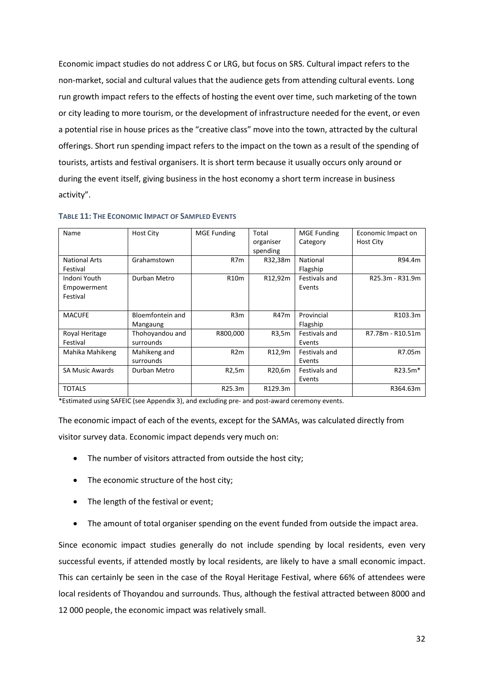Economic impact studies do not address C or LRG, but focus on SRS. Cultural impact refers to the non-market, social and cultural values that the audience gets from attending cultural events. Long run growth impact refers to the effects of hosting the event over time, such marketing of the town or city leading to more tourism, or the development of infrastructure needed for the event, or even a potential rise in house prices as the "creative class" move into the town, attracted by the cultural offerings. Short run spending impact refers to the impact on the town as a result of the spending of tourists, artists and festival organisers. It is short term because it usually occurs only around or during the event itself, giving business in the host economy a short term increase in business activity".

| Name                   | <b>Host City</b> | <b>MGE Funding</b> | Total     | <b>MGE Funding</b> | Economic Impact on |
|------------------------|------------------|--------------------|-----------|--------------------|--------------------|
|                        |                  |                    | organiser | Category           | <b>Host City</b>   |
|                        |                  |                    | spending  |                    |                    |
| <b>National Arts</b>   | Grahamstown      | R7m                | R32,38m   | National           | R94.4m             |
| Festival               |                  |                    |           | Flagship           |                    |
| Indoni Youth           | Durban Metro     | R10m               | R12,92m   | Festivals and      | R25.3m - R31.9m    |
| Empowerment            |                  |                    |           | Events             |                    |
| Festival               |                  |                    |           |                    |                    |
|                        |                  |                    |           |                    |                    |
| <b>MACUFE</b>          | Bloemfontein and | R <sub>3</sub> m   | R47m      | Provincial         | R103.3m            |
|                        | Mangaung         |                    |           | Flagship           |                    |
| Royal Heritage         | Thohoyandou and  | R800,000           | R3,5m     | Festivals and      | R7.78m - R10.51m   |
| Festival               | surrounds        |                    |           | Events             |                    |
| Mahika Mahikeng        | Mahikeng and     | R2m                | R12,9m    | Festivals and      | R7.05m             |
|                        | surrounds        |                    |           | Events             |                    |
| <b>SA Music Awards</b> | Durban Metro     | R2,5m              | R20,6m    | Festivals and      | R23.5m*            |
|                        |                  |                    |           | Events             |                    |
| <b>TOTALS</b>          |                  | R25.3m             | R129.3m   |                    | R364.63m           |

<span id="page-31-0"></span>**TABLE 11: THE ECONOMIC IMPACT OF SAMPLED EVENTS**

\*Estimated using SAFEIC (see Appendix 3), and excluding pre- and post-award ceremony events.

The economic impact of each of the events, except for the SAMAs, was calculated directly from visitor survey data. Economic impact depends very much on:

- The number of visitors attracted from outside the host city;
- The economic structure of the host city;
- The length of the festival or event;
- The amount of total organiser spending on the event funded from outside the impact area.

Since economic impact studies generally do not include spending by local residents, even very successful events, if attended mostly by local residents, are likely to have a small economic impact. This can certainly be seen in the case of the Royal Heritage Festival, where 66% of attendees were local residents of Thoyandou and surrounds. Thus, although the festival attracted between 8000 and 12 000 people, the economic impact was relatively small.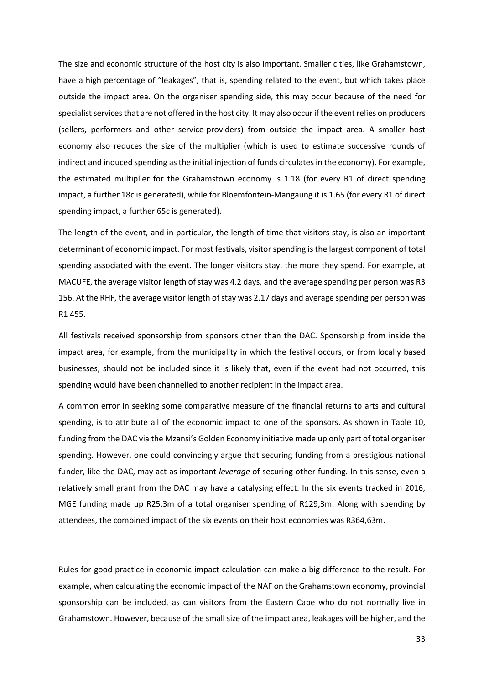The size and economic structure of the host city is also important. Smaller cities, like Grahamstown, have a high percentage of "leakages", that is, spending related to the event, but which takes place outside the impact area. On the organiser spending side, this may occur because of the need for specialist services that are not offered in the host city. It may also occur if the event relies on producers (sellers, performers and other service-providers) from outside the impact area. A smaller host economy also reduces the size of the multiplier (which is used to estimate successive rounds of indirect and induced spending as the initial injection of funds circulates in the economy). For example, the estimated multiplier for the Grahamstown economy is 1.18 (for every R1 of direct spending impact, a further 18c is generated), while for Bloemfontein-Mangaung it is 1.65 (for every R1 of direct spending impact, a further 65c is generated).

The length of the event, and in particular, the length of time that visitors stay, is also an important determinant of economic impact. For most festivals, visitor spending is the largest component of total spending associated with the event. The longer visitors stay, the more they spend. For example, at MACUFE, the average visitor length of stay was 4.2 days, and the average spending per person was R3 156. At the RHF, the average visitor length of stay was 2.17 days and average spending per person was R1 455.

All festivals received sponsorship from sponsors other than the DAC. Sponsorship from inside the impact area, for example, from the municipality in which the festival occurs, or from locally based businesses, should not be included since it is likely that, even if the event had not occurred, this spending would have been channelled to another recipient in the impact area.

A common error in seeking some comparative measure of the financial returns to arts and cultural spending, is to attribute all of the economic impact to one of the sponsors. As shown in Table 10, funding from the DAC via the Mzansi's Golden Economy initiative made up only part of total organiser spending. However, one could convincingly argue that securing funding from a prestigious national funder, like the DAC, may act as important *leverage* of securing other funding. In this sense, even a relatively small grant from the DAC may have a catalysing effect. In the six events tracked in 2016, MGE funding made up R25,3m of a total organiser spending of R129,3m. Along with spending by attendees, the combined impact of the six events on their host economies was R364,63m.

Rules for good practice in economic impact calculation can make a big difference to the result. For example, when calculating the economic impact of the NAF on the Grahamstown economy, provincial sponsorship can be included, as can visitors from the Eastern Cape who do not normally live in Grahamstown. However, because of the small size of the impact area, leakages will be higher, and the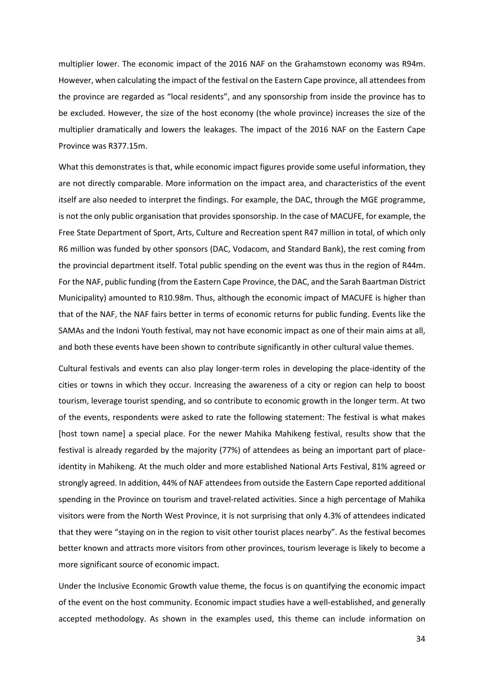multiplier lower. The economic impact of the 2016 NAF on the Grahamstown economy was R94m. However, when calculating the impact of the festival on the Eastern Cape province, all attendees from the province are regarded as "local residents", and any sponsorship from inside the province has to be excluded. However, the size of the host economy (the whole province) increases the size of the multiplier dramatically and lowers the leakages. The impact of the 2016 NAF on the Eastern Cape Province was R377.15m.

What this demonstrates is that, while economic impact figures provide some useful information, they are not directly comparable. More information on the impact area, and characteristics of the event itself are also needed to interpret the findings. For example, the DAC, through the MGE programme, is not the only public organisation that provides sponsorship. In the case of MACUFE, for example, the Free State Department of Sport, Arts, Culture and Recreation spent R47 million in total, of which only R6 million was funded by other sponsors (DAC, Vodacom, and Standard Bank), the rest coming from the provincial department itself. Total public spending on the event was thus in the region of R44m. For the NAF, public funding (from the Eastern Cape Province, the DAC, and the Sarah Baartman District Municipality) amounted to R10.98m. Thus, although the economic impact of MACUFE is higher than that of the NAF, the NAF fairs better in terms of economic returns for public funding. Events like the SAMAs and the Indoni Youth festival, may not have economic impact as one of their main aims at all, and both these events have been shown to contribute significantly in other cultural value themes.

Cultural festivals and events can also play longer-term roles in developing the place-identity of the cities or towns in which they occur. Increasing the awareness of a city or region can help to boost tourism, leverage tourist spending, and so contribute to economic growth in the longer term. At two of the events, respondents were asked to rate the following statement: The festival is what makes [host town name] a special place. For the newer Mahika Mahikeng festival, results show that the festival is already regarded by the majority (77%) of attendees as being an important part of placeidentity in Mahikeng. At the much older and more established National Arts Festival, 81% agreed or strongly agreed. In addition, 44% of NAF attendees from outside the Eastern Cape reported additional spending in the Province on tourism and travel-related activities. Since a high percentage of Mahika visitors were from the North West Province, it is not surprising that only 4.3% of attendees indicated that they were "staying on in the region to visit other tourist places nearby". As the festival becomes better known and attracts more visitors from other provinces, tourism leverage is likely to become a more significant source of economic impact.

Under the Inclusive Economic Growth value theme, the focus is on quantifying the economic impact of the event on the host community. Economic impact studies have a well-established, and generally accepted methodology. As shown in the examples used, this theme can include information on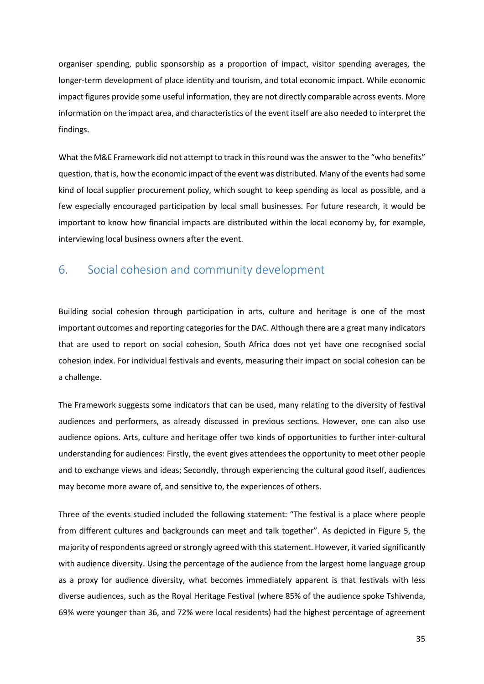organiser spending, public sponsorship as a proportion of impact, visitor spending averages, the longer-term development of place identity and tourism, and total economic impact. While economic impact figures provide some useful information, they are not directly comparable across events. More information on the impact area, and characteristics of the event itself are also needed to interpret the findings.

What the M&E Framework did not attempt to track in this round was the answer to the "who benefits" question, that is, how the economic impact of the event was distributed. Many of the events had some kind of local supplier procurement policy, which sought to keep spending as local as possible, and a few especially encouraged participation by local small businesses. For future research, it would be important to know how financial impacts are distributed within the local economy by, for example, interviewing local business owners after the event.

# <span id="page-34-0"></span>6. Social cohesion and community development

Building social cohesion through participation in arts, culture and heritage is one of the most important outcomes and reporting categories for the DAC. Although there are a great many indicators that are used to report on social cohesion, South Africa does not yet have one recognised social cohesion index. For individual festivals and events, measuring their impact on social cohesion can be a challenge.

The Framework suggests some indicators that can be used, many relating to the diversity of festival audiences and performers, as already discussed in previous sections. However, one can also use audience opions. Arts, culture and heritage offer two kinds of opportunities to further inter-cultural understanding for audiences: Firstly, the event gives attendees the opportunity to meet other people and to exchange views and ideas; Secondly, through experiencing the cultural good itself, audiences may become more aware of, and sensitive to, the experiences of others.

Three of the events studied included the following statement: "The festival is a place where people from different cultures and backgrounds can meet and talk together". As depicted in Figure 5, the majority of respondents agreed or strongly agreed with this statement. However, it varied significantly with audience diversity. Using the percentage of the audience from the largest home language group as a proxy for audience diversity, what becomes immediately apparent is that festivals with less diverse audiences, such as the Royal Heritage Festival (where 85% of the audience spoke Tshivenda, 69% were younger than 36, and 72% were local residents) had the highest percentage of agreement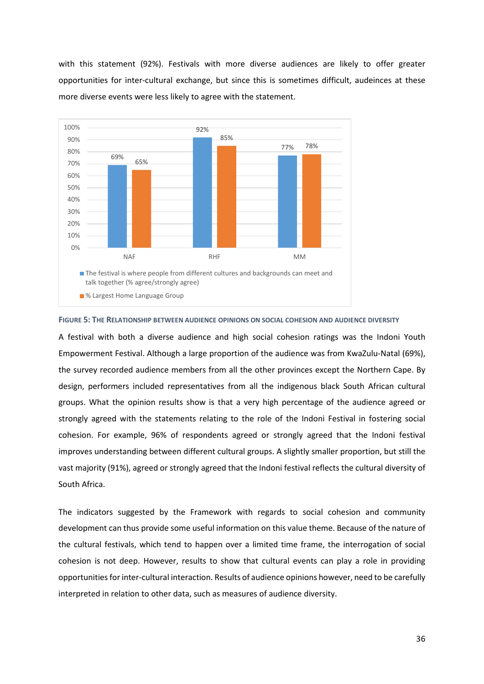with this statement (92%). Festivals with more diverse audiences are likely to offer greater opportunities for inter-cultural exchange, but since this is sometimes difficult, audeinces at these more diverse events were less likely to agree with the statement.



#### <span id="page-35-0"></span>**FIGURE 5: THE RELATIONSHIP BETWEEN AUDIENCE OPINIONS ON SOCIAL COHESION AND AUDIENCE DIVERSITY**

A festival with both a diverse audience and high social cohesion ratings was the Indoni Youth Empowerment Festival. Although a large proportion of the audience was from KwaZulu-Natal (69%), the survey recorded audience members from all the other provinces except the Northern Cape. By design, performers included representatives from all the indigenous black South African cultural groups. What the opinion results show is that a very high percentage of the audience agreed or strongly agreed with the statements relating to the role of the Indoni Festival in fostering social cohesion. For example, 96% of respondents agreed or strongly agreed that the Indoni festival improves understanding between different cultural groups. A slightly smaller proportion, but still the vast majority (91%), agreed or strongly agreed that the Indoni festival reflects the cultural diversity of South Africa.

The indicators suggested by the Framework with regards to social cohesion and community development can thus provide some useful information on this value theme. Because of the nature of the cultural festivals, which tend to happen over a limited time frame, the interrogation of social cohesion is not deep. However, results to show that cultural events can play a role in providing opportunities for inter-cultural interaction. Results of audience opinions however, need to be carefully interpreted in relation to other data, such as measures of audience diversity.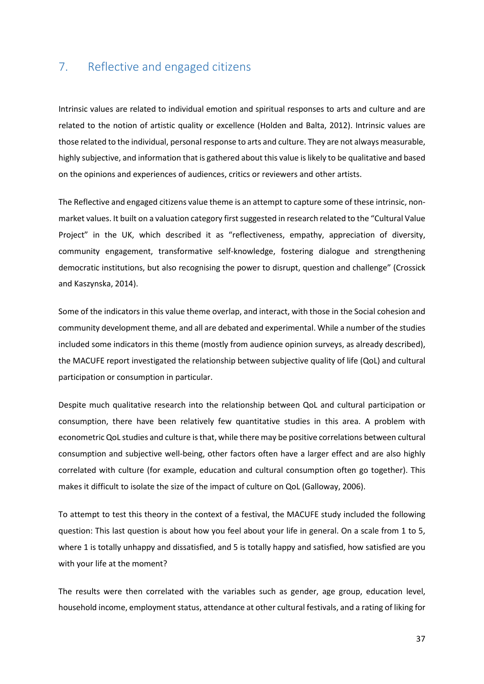# <span id="page-36-0"></span>7. Reflective and engaged citizens

Intrinsic values are related to individual emotion and spiritual responses to arts and culture and are related to the notion of artistic quality or excellence (Holden and Balta, 2012). Intrinsic values are those related to the individual, personal response to arts and culture. They are not always measurable, highly subjective, and information that is gathered about this value is likely to be qualitative and based on the opinions and experiences of audiences, critics or reviewers and other artists.

The Reflective and engaged citizens value theme is an attempt to capture some of these intrinsic, nonmarket values. It built on a valuation category first suggested in research related to the "Cultural Value Project" in the UK, which described it as "reflectiveness, empathy, appreciation of diversity, community engagement, transformative self-knowledge, fostering dialogue and strengthening democratic institutions, but also recognising the power to disrupt, question and challenge" (Crossick and Kaszynska, 2014).

Some of the indicators in this value theme overlap, and interact, with those in the Social cohesion and community development theme, and all are debated and experimental. While a number of the studies included some indicators in this theme (mostly from audience opinion surveys, as already described), the MACUFE report investigated the relationship between subjective quality of life (QoL) and cultural participation or consumption in particular.

Despite much qualitative research into the relationship between QoL and cultural participation or consumption, there have been relatively few quantitative studies in this area. A problem with econometric QoL studies and culture is that, while there may be positive correlations between cultural consumption and subjective well-being, other factors often have a larger effect and are also highly correlated with culture (for example, education and cultural consumption often go together). This makes it difficult to isolate the size of the impact of culture on QoL (Galloway, 2006).

To attempt to test this theory in the context of a festival, the MACUFE study included the following question: This last question is about how you feel about your life in general. On a scale from 1 to 5, where 1 is totally unhappy and dissatisfied, and 5 is totally happy and satisfied, how satisfied are you with your life at the moment?

The results were then correlated with the variables such as gender, age group, education level, household income, employment status, attendance at other cultural festivals, and a rating of liking for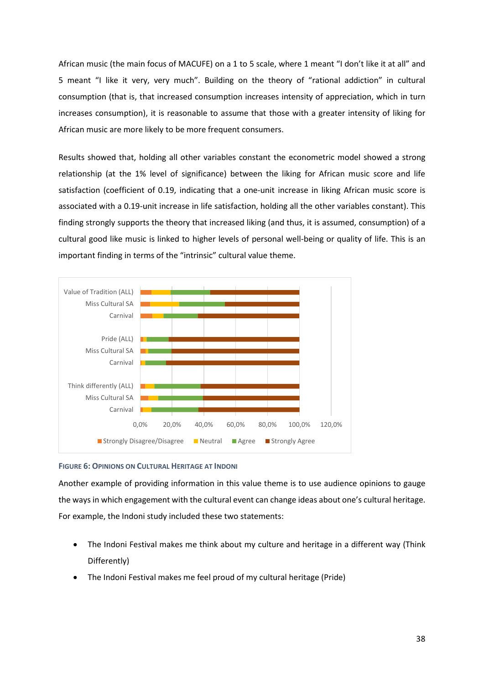African music (the main focus of MACUFE) on a 1 to 5 scale, where 1 meant "I don't like it at all" and 5 meant "I like it very, very much". Building on the theory of "rational addiction" in cultural consumption (that is, that increased consumption increases intensity of appreciation, which in turn increases consumption), it is reasonable to assume that those with a greater intensity of liking for African music are more likely to be more frequent consumers.

Results showed that, holding all other variables constant the econometric model showed a strong relationship (at the 1% level of significance) between the liking for African music score and life satisfaction (coefficient of 0.19, indicating that a one-unit increase in liking African music score is associated with a 0.19-unit increase in life satisfaction, holding all the other variables constant). This finding strongly supports the theory that increased liking (and thus, it is assumed, consumption) of a cultural good like music is linked to higher levels of personal well-being or quality of life. This is an important finding in terms of the "intrinsic" cultural value theme.



## <span id="page-37-0"></span>**FIGURE 6: OPINIONS ON CULTURAL HERITAGE AT INDONI**

Another example of providing information in this value theme is to use audience opinions to gauge the ways in which engagement with the cultural event can change ideas about one's cultural heritage. For example, the Indoni study included these two statements:

- The Indoni Festival makes me think about my culture and heritage in a different way (Think Differently)
- The Indoni Festival makes me feel proud of my cultural heritage (Pride)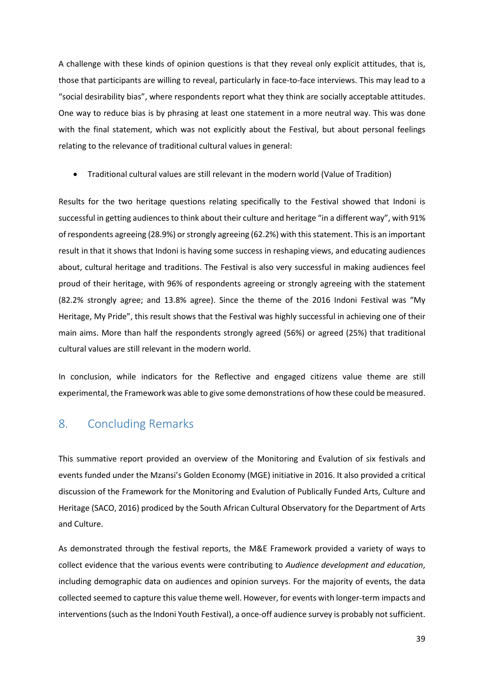A challenge with these kinds of opinion questions is that they reveal only explicit attitudes, that is, those that participants are willing to reveal, particularly in face-to-face interviews. This may lead to a "social desirability bias", where respondents report what they think are socially acceptable attitudes. One way to reduce bias is by phrasing at least one statement in a more neutral way. This was done with the final statement, which was not explicitly about the Festival, but about personal feelings relating to the relevance of traditional cultural values in general:

• Traditional cultural values are still relevant in the modern world (Value of Tradition)

Results for the two heritage questions relating specifically to the Festival showed that Indoni is successful in getting audiences to think about their culture and heritage "in a different way", with 91% of respondents agreeing (28.9%) or strongly agreeing (62.2%) with this statement. This is an important result in that it shows that Indoni is having some success in reshaping views, and educating audiences about, cultural heritage and traditions. The Festival is also very successful in making audiences feel proud of their heritage, with 96% of respondents agreeing or strongly agreeing with the statement (82.2% strongly agree; and 13.8% agree). Since the theme of the 2016 Indoni Festival was "My Heritage, My Pride", this result shows that the Festival was highly successful in achieving one of their main aims. More than half the respondents strongly agreed (56%) or agreed (25%) that traditional cultural values are still relevant in the modern world.

In conclusion, while indicators for the Reflective and engaged citizens value theme are still experimental, the Framework was able to give some demonstrations of how these could be measured.

# <span id="page-38-0"></span>8. Concluding Remarks

This summative report provided an overview of the Monitoring and Evalution of six festivals and events funded under the Mzansi's Golden Economy (MGE) initiative in 2016. It also provided a critical discussion of the Framework for the Monitoring and Evalution of Publically Funded Arts, Culture and Heritage (SACO, 2016) prodiced by the South African Cultural Observatory for the Department of Arts and Culture.

As demonstrated through the festival reports, the M&E Framework provided a variety of ways to collect evidence that the various events were contributing to *Audience development and education*, including demographic data on audiences and opinion surveys. For the majority of events, the data collected seemed to capture this value theme well. However, for events with longer-term impacts and interventions (such as the Indoni Youth Festival), a once-off audience survey is probably not sufficient.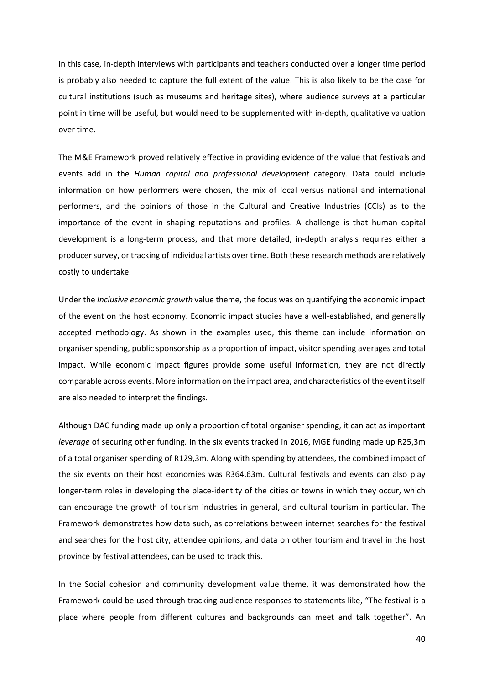In this case, in-depth interviews with participants and teachers conducted over a longer time period is probably also needed to capture the full extent of the value. This is also likely to be the case for cultural institutions (such as museums and heritage sites), where audience surveys at a particular point in time will be useful, but would need to be supplemented with in-depth, qualitative valuation over time.

The M&E Framework proved relatively effective in providing evidence of the value that festivals and events add in the *Human capital and professional development* category. Data could include information on how performers were chosen, the mix of local versus national and international performers, and the opinions of those in the Cultural and Creative Industries (CCIs) as to the importance of the event in shaping reputations and profiles. A challenge is that human capital development is a long-term process, and that more detailed, in-depth analysis requires either a producer survey, or tracking of individual artists over time. Both these research methods are relatively costly to undertake.

Under the *Inclusive economic growth* value theme, the focus was on quantifying the economic impact of the event on the host economy. Economic impact studies have a well-established, and generally accepted methodology. As shown in the examples used, this theme can include information on organiser spending, public sponsorship as a proportion of impact, visitor spending averages and total impact. While economic impact figures provide some useful information, they are not directly comparable across events. More information on the impact area, and characteristics of the event itself are also needed to interpret the findings.

Although DAC funding made up only a proportion of total organiser spending, it can act as important *leverage* of securing other funding. In the six events tracked in 2016, MGE funding made up R25,3m of a total organiser spending of R129,3m. Along with spending by attendees, the combined impact of the six events on their host economies was R364,63m. Cultural festivals and events can also play longer-term roles in developing the place-identity of the cities or towns in which they occur, which can encourage the growth of tourism industries in general, and cultural tourism in particular. The Framework demonstrates how data such, as correlations between internet searches for the festival and searches for the host city, attendee opinions, and data on other tourism and travel in the host province by festival attendees, can be used to track this.

In the Social cohesion and community development value theme, it was demonstrated how the Framework could be used through tracking audience responses to statements like, "The festival is a place where people from different cultures and backgrounds can meet and talk together". An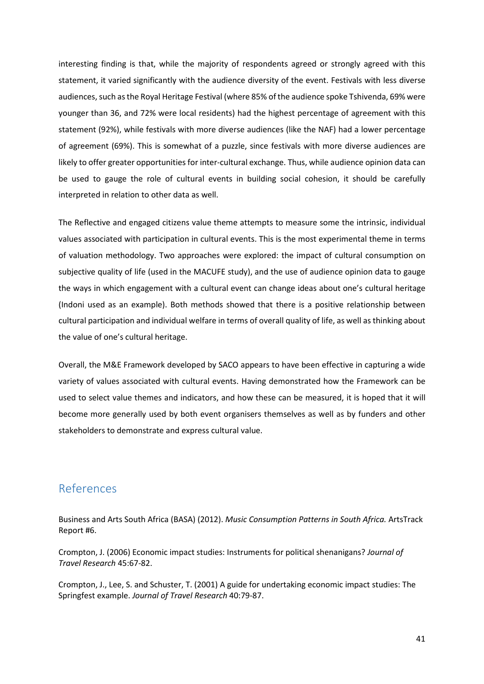interesting finding is that, while the majority of respondents agreed or strongly agreed with this statement, it varied significantly with the audience diversity of the event. Festivals with less diverse audiences, such as the Royal Heritage Festival (where 85% of the audience spoke Tshivenda, 69% were younger than 36, and 72% were local residents) had the highest percentage of agreement with this statement (92%), while festivals with more diverse audiences (like the NAF) had a lower percentage of agreement (69%). This is somewhat of a puzzle, since festivals with more diverse audiences are likely to offer greater opportunities for inter-cultural exchange. Thus, while audience opinion data can be used to gauge the role of cultural events in building social cohesion, it should be carefully interpreted in relation to other data as well.

The Reflective and engaged citizens value theme attempts to measure some the intrinsic, individual values associated with participation in cultural events. This is the most experimental theme in terms of valuation methodology. Two approaches were explored: the impact of cultural consumption on subjective quality of life (used in the MACUFE study), and the use of audience opinion data to gauge the ways in which engagement with a cultural event can change ideas about one's cultural heritage (Indoni used as an example). Both methods showed that there is a positive relationship between cultural participation and individual welfare in terms of overall quality of life, as well as thinking about the value of one's cultural heritage.

Overall, the M&E Framework developed by SACO appears to have been effective in capturing a wide variety of values associated with cultural events. Having demonstrated how the Framework can be used to select value themes and indicators, and how these can be measured, it is hoped that it will become more generally used by both event organisers themselves as well as by funders and other stakeholders to demonstrate and express cultural value.

# <span id="page-40-0"></span>References

Business and Arts South Africa (BASA) (2012). *Music Consumption Patterns in South Africa.* ArtsTrack Report #6.

Crompton, J. (2006) Economic impact studies: Instruments for political shenanigans? *Journal of Travel Research* 45:67-82.

Crompton, J., Lee, S. and Schuster, T. (2001) A guide for undertaking economic impact studies: The Springfest example. *Journal of Travel Research* 40:79-87.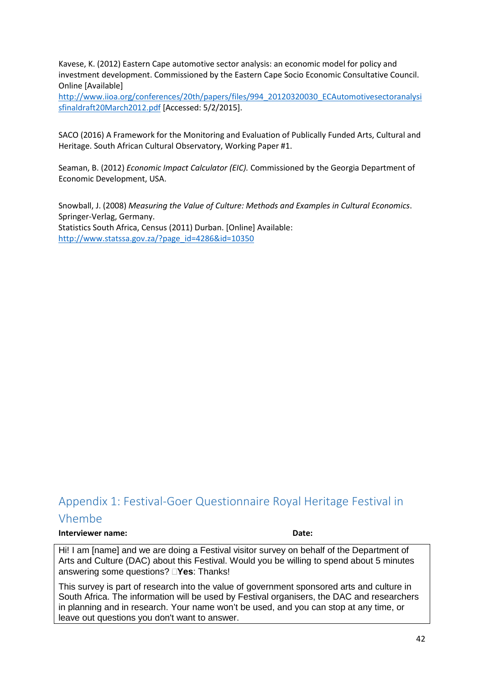Kavese, K. (2012) Eastern Cape automotive sector analysis: an economic model for policy and investment development. Commissioned by the Eastern Cape Socio Economic Consultative Council. Online [Available]

[http://www.iioa.org/conferences/20th/papers/files/994\\_20120320030\\_ECAutomotivesectoranalysi](http://www.iioa.org/conferences/20th/papers/files/994_20120320030_ECAutomotivesectoranalysisfinaldraft20March2012.pdf) [sfinaldraft20March2012.pdf](http://www.iioa.org/conferences/20th/papers/files/994_20120320030_ECAutomotivesectoranalysisfinaldraft20March2012.pdf) [Accessed: 5/2/2015].

SACO (2016) A Framework for the Monitoring and Evaluation of Publically Funded Arts, Cultural and Heritage. South African Cultural Observatory, Working Paper #1.

Seaman, B. (2012) *Economic Impact Calculator (EIC).* Commissioned by the Georgia Department of Economic Development, USA.

Snowball, J. (2008) *Measuring the Value of Culture: Methods and Examples in Cultural Economics*. Springer-Verlag, Germany. Statistics South Africa, Census (2011) Durban. [Online] Available: [http://www.statssa.gov.za/?page\\_id=4286&id=10350](http://www.statssa.gov.za/?page_id=4286&id=10350)

# <span id="page-41-0"></span>Appendix 1: Festival-Goer Questionnaire Royal Heritage Festival in Vhembe

#### **Interviewer name: Date:**

Hi! I am [name] and we are doing a Festival visitor survey on behalf of the Department of Arts and Culture (DAC) about this Festival. Would you be willing to spend about 5 minutes answering some questions? **Yes**: Thanks!

This survey is part of research into the value of government sponsored arts and culture in South Africa. The information will be used by Festival organisers, the DAC and researchers in planning and in research. Your name won't be used, and you can stop at any time, or leave out questions you don't want to answer.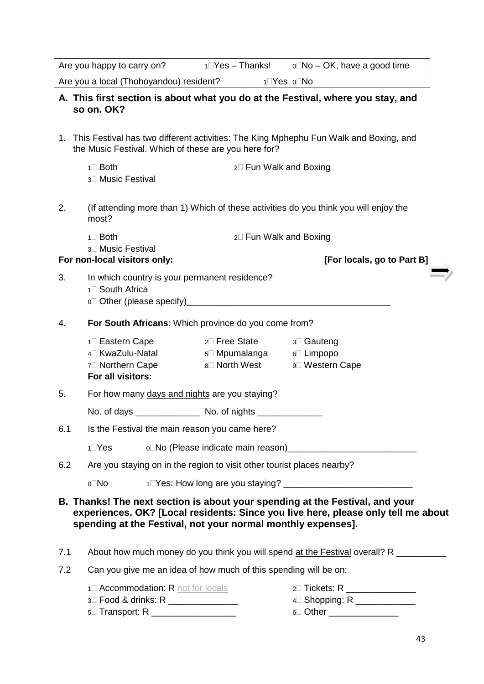|     |                                                                                                                                 |                        | Are you happy to carry on? $1 \square Yes - Thanks!$ $0 \square No - OK$ , have a good time                                                                       |  |  |  |
|-----|---------------------------------------------------------------------------------------------------------------------------------|------------------------|-------------------------------------------------------------------------------------------------------------------------------------------------------------------|--|--|--|
|     | Are you a local (Thohoyandou) resident? 1⊡Yes o⊡No                                                                              |                        |                                                                                                                                                                   |  |  |  |
|     | so on. OK?                                                                                                                      |                        | A. This first section is about what you do at the Festival, where you stay, and                                                                                   |  |  |  |
|     | the Music Festival. Which of these are you here for?                                                                            |                        | 1. This Festival has two different activities: The King Mphephu Fun Walk and Boxing, and                                                                          |  |  |  |
|     | $1 \square$ Both<br>3 <sup>1</sup> Music Festival                                                                               | 2□ Fun Walk and Boxing |                                                                                                                                                                   |  |  |  |
| 2.  | most?                                                                                                                           |                        | (If attending more than 1) Which of these activities do you think you will enjoy the                                                                              |  |  |  |
|     | $1 \square$ Both                                                                                                                | 2□ Fun Walk and Boxing |                                                                                                                                                                   |  |  |  |
|     | 3 <sup>1</sup> Music Festival<br>For non-local visitors only:                                                                   |                        | [For locals, go to Part B]                                                                                                                                        |  |  |  |
| 3.  | In which country is your permanent residence?<br>1 <sup>1</sup> South Africa                                                    |                        |                                                                                                                                                                   |  |  |  |
| 4.  | For South Africans: Which province do you come from?                                                                            |                        |                                                                                                                                                                   |  |  |  |
|     | 1□ Eastern Cape 2□ Free State<br>4 <sup>□</sup> KwaZulu-Natal 5□ Mpumalanga 6□ Limpopo<br>7□ Northern Cape<br>For all visitors: | 8□ North West          | ึ 3⊡ Gauteng<br>9 <sup>□</sup> Western Cape                                                                                                                       |  |  |  |
| 5.  | For how many days and nights are you staying?                                                                                   |                        |                                                                                                                                                                   |  |  |  |
|     |                                                                                                                                 |                        |                                                                                                                                                                   |  |  |  |
| 6.1 | Is the Festival the main reason you came here?                                                                                  |                        |                                                                                                                                                                   |  |  |  |
|     | $1\square$ Yes                                                                                                                  |                        |                                                                                                                                                                   |  |  |  |
| 6.2 | Are you staying on in the region to visit other tourist places nearby?                                                          |                        |                                                                                                                                                                   |  |  |  |
|     | o⊡No                                                                                                                            |                        |                                                                                                                                                                   |  |  |  |
|     | spending at the Festival, not your normal monthly expenses].                                                                    |                        | B. Thanks! The next section is about your spending at the Festival, and your<br>experiences. OK? [Local residents: Since you live here, please only tell me about |  |  |  |
| 7.1 |                                                                                                                                 |                        | About how much money do you think you will spend at the Festival overall? R                                                                                       |  |  |  |
| 7.2 | Can you give me an idea of how much of this spending will be on:                                                                |                        |                                                                                                                                                                   |  |  |  |
|     | 1 <sup>1</sup> Accommodation: R not for locals<br>3 Food & drinks: R _______________<br>5 Transport: R __________________       |                        | 2 Tickets: R ________________<br>4 Shopping: R _____________<br>6□ Other ________________                                                                         |  |  |  |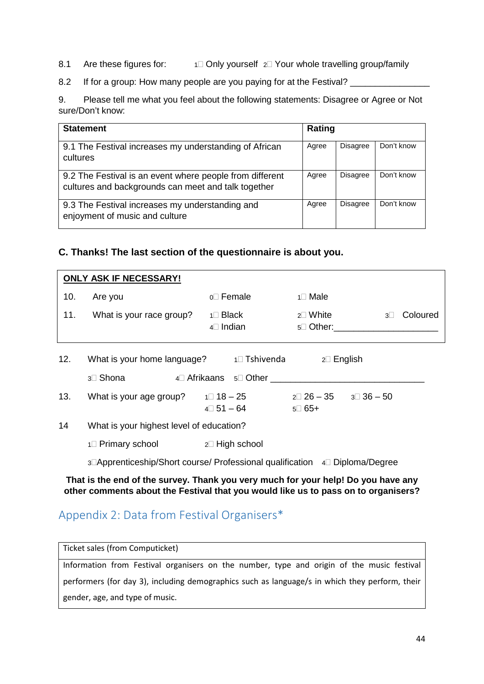- 8.1 Are these figures for:  $1 \square$  Only yourself  $2 \square$  Your whole travelling group/family
- 8.2 If for a group: How many people are you paying for at the Festival?

9. Please tell me what you feel about the following statements: Disagree or Agree or Not sure/Don't know:

| <b>Statement</b>                                                                                                | Rating |                 |            |
|-----------------------------------------------------------------------------------------------------------------|--------|-----------------|------------|
| 9.1 The Festival increases my understanding of African<br>cultures                                              | Agree  | Disagree        | Don't know |
| 9.2 The Festival is an event where people from different<br>cultures and backgrounds can meet and talk together | Agree  | <b>Disagree</b> | Don't know |
| 9.3 The Festival increases my understanding and<br>enjoyment of music and culture                               | Agree  | Disagree        | Don't know |

## **C. Thanks! The last section of the questionnaire is about you.**

|     | <b>ONLY ASK IF NECESSARY!</b>            |                                            |                                                      |            |          |
|-----|------------------------------------------|--------------------------------------------|------------------------------------------------------|------------|----------|
| 10. | Are you                                  | $0$ Female                                 | $1 \square$ Male                                     |            |          |
| 11. | What is your race group?                 | $1 \square$ Black<br>$4\Box$ Indian        | $2\square$ White<br>$5\square$ Other:                | $3\square$ | Coloured |
| 12. | What is your home language?              | 1□ Tshivenda                               | $2\square$ English                                   |            |          |
|     | 3 <sup>3</sup> Shona                     | 4□ Afrikaans 5□ Other                      |                                                      |            |          |
| 13. | What is your age group?                  | $1 \square 18 - 25$<br>$4 \square 51 - 64$ | $2\square$ 26 – 35<br>$3\square$ 36 $-$ 50<br>5□ 65+ |            |          |
| 14  | What is your highest level of education? |                                            |                                                      |            |          |

 $1 \square$  Primary school  $2 \square$  High school

3<sup>1</sup>Apprenticeship/Short course/ Professional qualification 4<sup>1</sup>Diploma/Degree

**That is the end of the survey. Thank you very much for your help! Do you have any other comments about the Festival that you would like us to pass on to organisers?**

# <span id="page-43-0"></span>Appendix 2: Data from Festival Organisers\*

Ticket sales (from Computicket) Information from Festival organisers on the number, type and origin of the music festival performers (for day 3), including demographics such as language/s in which they perform, their gender, age, and type of music.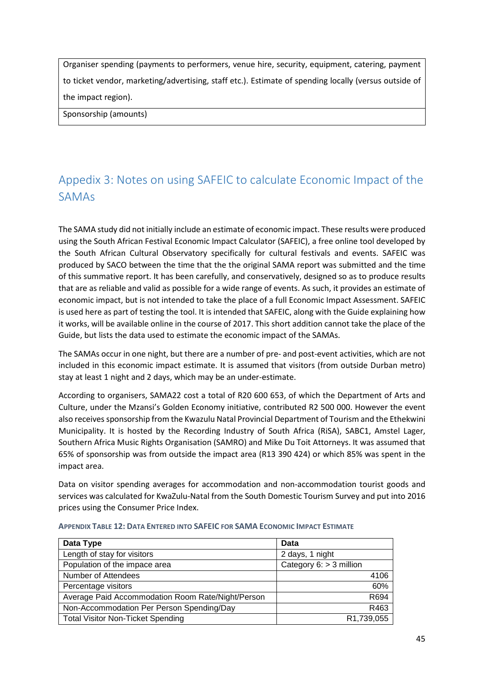Organiser spending (payments to performers, venue hire, security, equipment, catering, payment to ticket vendor, marketing/advertising, staff etc.). Estimate of spending locally (versus outside of the impact region).

Sponsorship (amounts)

# <span id="page-44-0"></span>Appedix 3: Notes on using SAFEIC to calculate Economic Impact of the SAMAs

The SAMA study did not initially include an estimate of economic impact. These results were produced using the South African Festival Economic Impact Calculator (SAFEIC), a free online tool developed by the South African Cultural Observatory specifically for cultural festivals and events. SAFEIC was produced by SACO between the time that the the original SAMA report was submitted and the time of this summative report. It has been carefully, and conservatively, designed so as to produce results that are as reliable and valid as possible for a wide range of events. As such, it provides an estimate of economic impact, but is not intended to take the place of a full Economic Impact Assessment. SAFEIC is used here as part of testing the tool. It is intended that SAFEIC, along with the Guide explaining how it works, will be available online in the course of 2017. This short addition cannot take the place of the Guide, but lists the data used to estimate the economic impact of the SAMAs.

The SAMAs occur in one night, but there are a number of pre- and post-event activities, which are not included in this economic impact estimate. It is assumed that visitors (from outside Durban metro) stay at least 1 night and 2 days, which may be an under-estimate.

According to organisers, SAMA22 cost a total of R20 600 653, of which the Department of Arts and Culture, under the Mzansi's Golden Economy initiative, contributed R2 500 000. However the event also receives sponsorship from the Kwazulu Natal Provincial Department of Tourism and the Ethekwini Municipality. It is hosted by the Recording Industry of South Africa (RiSA), SABC1, Amstel Lager, Southern Africa Music Rights Organisation (SAMRO) and Mike Du Toit Attorneys. It was assumed that 65% of sponsorship was from outside the impact area (R13 390 424) or which 85% was spent in the impact area.

Data on visitor spending averages for accommodation and non-accommodation tourist goods and services was calculated for KwaZulu-Natal from the South Domestic Tourism Survey and put into 2016 prices using the Consumer Price Index.

| Data Type                                         | Data                      |
|---------------------------------------------------|---------------------------|
| Length of stay for visitors                       | 2 days, 1 night           |
| Population of the impace area                     | Category $6:$ > 3 million |
| Number of Attendees                               | 4106                      |
| Percentage visitors                               | 60%                       |
| Average Paid Accommodation Room Rate/Night/Person | R694                      |
| Non-Accommodation Per Person Spending/Day         | R463                      |
| <b>Total Visitor Non-Ticket Spending</b>          | R1,739,055                |

<span id="page-44-1"></span>

| <b>APPENDIX TABLE 12: DATA ENTERED INTO SAFEIC FOR SAMA ECONOMIC IMPACT ESTIMATE</b> |  |  |  |  |
|--------------------------------------------------------------------------------------|--|--|--|--|
|                                                                                      |  |  |  |  |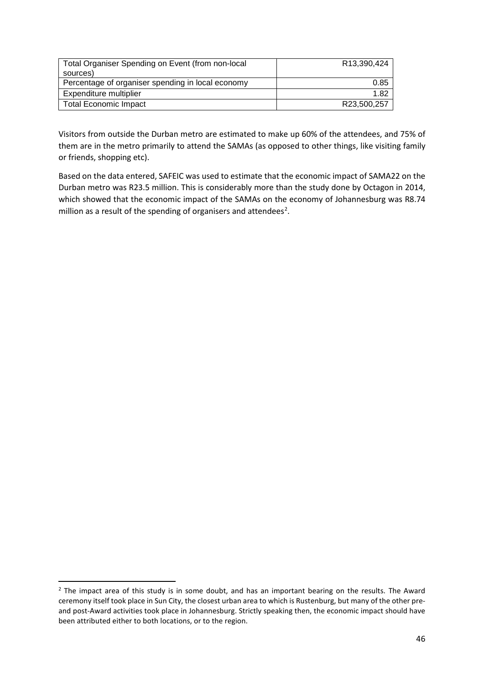| R13,390,424 |
|-------------|
|             |
| 0.85        |
| 1.82        |
| R23,500,257 |
|             |

Visitors from outside the Durban metro are estimated to make up 60% of the attendees, and 75% of them are in the metro primarily to attend the SAMAs (as opposed to other things, like visiting family or friends, shopping etc).

Based on the data entered, SAFEIC was used to estimate that the economic impact of SAMA22 on the Durban metro was R23.5 million. This is considerably more than the study done by Octagon in 2014, which showed that the economic impact of the SAMAs on the economy of Johannesburg was R8.74 million as a result of the spending of organisers and attendees<sup>[2](#page-45-0)</sup>.

<span id="page-45-0"></span><sup>&</sup>lt;sup>2</sup> The impact area of this study is in some doubt, and has an important bearing on the results. The Award ceremony itself took place in Sun City, the closest urban area to which is Rustenburg, but many of the other preand post-Award activities took place in Johannesburg. Strictly speaking then, the economic impact should have been attributed either to both locations, or to the region.